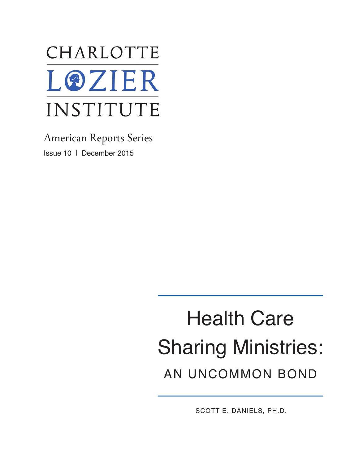

American Reports Series Issue 10 | December 2015

# Health Care Sharing Ministries: AN UNCOMMON BOND

SCOTT E. DANIELS, PH.D.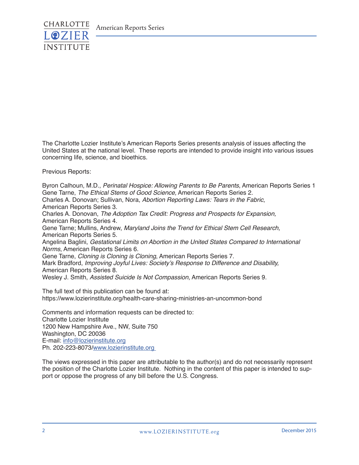

The Charlotte Lozier Institute's American Reports Series presents analysis of issues affecting the United States at the national level. These reports are intended to provide insight into various issues concerning life, science, and bioethics.

Previous Reports:

Byron Calhoun, M.D., *Perinatal Hospice: Allowing Parents to Be Parents*, American Reports Series 1 Gene Tarne, *The Ethical Stems of Good Science,* American Reports Series 2. Charles A. Donovan; Sullivan, Nora, *Abortion Reporting Laws: Tears in the Fabric*, American Reports Series 3. Charles A. Donovan, *The Adoption Tax Credit: Progress and Prospects for Expansion,* American Reports Series 4. Gene Tarne; Mullins, Andrew, *Maryland Joins the Trend for Ethical Stem Cell Research,* American Reports Series 5. Angelina Baglini, *Gestational Limits on Abortion in the United States Compared to International Norms*, American Reports Series 6. Gene Tarne, *Cloning is Cloning is Cloning*, American Reports Series 7. Mark Bradford, Improving Joyful Lives: Society's Response to Difference and Disability, American Reports Series 8. Wesley J. Smith, *Assisted Suicide Is Not Compassion*, American Reports Series 9.

The full text of this publication can be found at: https://www.lozierinstitute.org/health-care-sharing-ministries-an-uncommon-bond

Comments and information requests can be directed to: Charlotte Lozier Institute 1200 New Hampshire Ave., NW, Suite 750 Washington, DC 20036 E-mail: info@lozierinstitute.org Ph. 202-223-8073/www.lozierinstitute.org

The views expressed in this paper are attributable to the author(s) and do not necessarily represent the position of the Charlotte Lozier Institute. Nothing in the content of this paper is intended to support or oppose the progress of any bill before the U.S. Congress.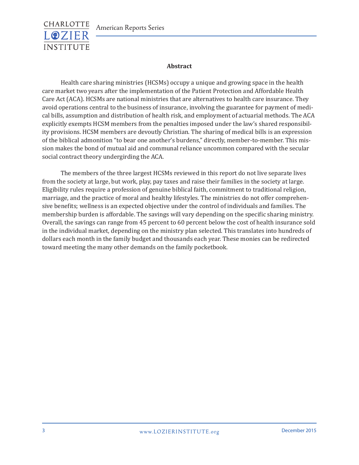

#### **Abstract**

Health care sharing ministries (HCSMs) occupy a unique and growing space in the health care market two years after the implementation of the Patient Protection and Affordable Health Care Act (ACA). HCSMs are national ministries that are alternatives to health care insurance. They avoid operations central to the business of insurance, involving the guarantee for payment of medical bills, assumption and distribution of health risk, and employment of actuarial methods. The ACA explicitly exempts HCSM members from the penalties imposed under the law's shared responsibility provisions. HCSM members are devoutly Christian. The sharing of medical bills is an expression of the biblical admonition "to bear one another's burdens," directly, member-to-member. This mission makes the bond of mutual aid and communal reliance uncommon compared with the secular social contract theory undergirding the ACA.

The members of the three largest HCSMs reviewed in this report do not live separate lives from the society at large, but work, play, pay taxes and raise their families in the society at large. Eligibility rules require a profession of genuine biblical faith, commitment to traditional religion, marriage, and the practice of moral and healthy lifestyles. The ministries do not offer comprehensive benefits; wellness is an expected objective under the control of individuals and families. The membership burden is affordable. The savings will vary depending on the specific sharing ministry. Overall, the savings can range from 45 percent to 60 percent below the cost of health insurance sold in the individual market, depending on the ministry plan selected. This translates into hundreds of dollars each month in the family budget and thousands each year. These monies can be redirected toward meeting the many other demands on the family pocketbook.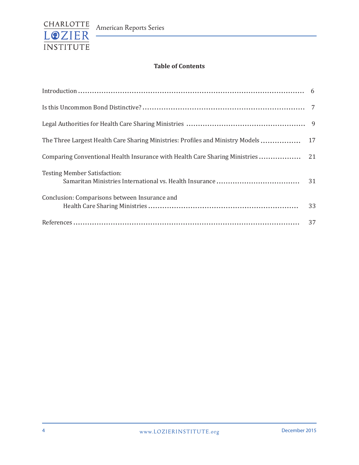

### **Table of Contents**

| The Three Largest Health Care Sharing Ministries: Profiles and Ministry Models 17 |    |
|-----------------------------------------------------------------------------------|----|
|                                                                                   |    |
| <b>Testing Member Satisfaction:</b>                                               |    |
| Conclusion: Comparisons between Insurance and                                     | 33 |
|                                                                                   | 37 |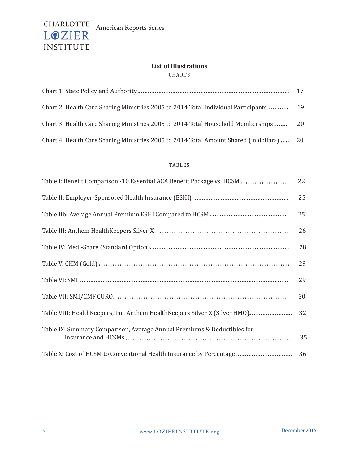

## **List of Illustrations**

CHARTS

| Chart 2: Health Care Sharing Ministries 2005 to 2014 Total Individual Participants 19    |  |
|------------------------------------------------------------------------------------------|--|
| Chart 3: Health Care Sharing Ministries 2005 to 2014 Total Household Memberships 20      |  |
| Chart 4: Health Care Sharing Ministries 2005 to 2014 Total Amount Shared (in dollars) 20 |  |

#### TABLES

| Table I: Benefit Comparison -10 Essential ACA Benefit Package vs. HCSM     | 22 |
|----------------------------------------------------------------------------|----|
|                                                                            | 25 |
|                                                                            | 25 |
|                                                                            | 26 |
|                                                                            | 28 |
|                                                                            | 29 |
|                                                                            | 29 |
|                                                                            | 30 |
| Table VIII: HealthKeepers, Inc. Anthem HealthKeepers Silver X (Silver HMO) | 32 |
| Table IX: Summary Comparison, Average Annual Premiums & Deductibles for    | 35 |
| Table X: Cost of HCSM to Conventional Health Insurance by Percentage       | 36 |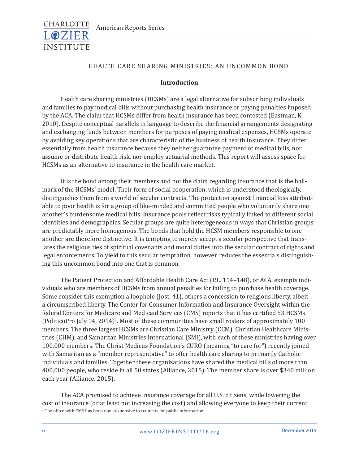

#### HEALTH CARE SHARING MINISTRIES: AN UNCOMMON BOND

#### **Introduction**

Health care sharing ministries (HCSMs) are a legal alternative for subscribing individuals and families to pay medical bills without purchasing health insurance or paying penalties imposed by the ACA. The claim that HCSMs differ from health insurance has been contested (Eastman, K. 2010). Despite conceptual parallels in language to describe the financial arrangements designating and exchanging funds between members for purposes of paying medical expenses, HCSMs operate by avoiding key operations that are characteristic of the business of health insurance. They differ essentially from health insurance because they neither guarantee payment of medical bills, nor assume or distribute health risk, nor employ actuarial methods. This report will assess space for HCSMs as an alternative to insurance in the health care market.

It is the bond among their members and not the claim regarding insurance that is the hallmark of the HCSMs' model. Their form of social cooperation, which is understood theologically, distinguishes them from a world of secular contracts. The protection against financial loss attributable to poor health is for a group of like-minded and committed people who voluntarily share one another's burdensome medical bills. Insurance pools reflect risks typically linked to different social identities and demographics. Secular groups are quite heterogeneous in ways that Christian groups are predictably more homogenous. The bonds that hold the HCSM members responsible to one another are therefore distinctive. It is tempting to merely accept a secular perspective that translates the religious ties of spiritual covenants and moral duties into the secular contract of rights and legal enforcements. To yield to this secular temptation, however, reduces the essentials distinguishing this uncommon bond into one that is common.

The Patient Protection and Affordable Health Care Act (P.L. 114–148), or ACA, exempts individuals who are members of HCSMs from annual penalties for failing to purchase health coverage. Some consider this exemption a loophole (Jost, 41), others a concession to religious liberty, albeit a circumscribed liberty. The Center for Consumer Information and Insurance Oversight within the federal Centers for Medicare and Medicaid Services (CMS) reports that it has certified 53 HCSMs (PoliticoPro July 14, 2014)<sup>1</sup>. Most of these communities have small rosters of approximately 100 members. The three largest HCSMs are Christian Care Ministry (CCM), Christian Healthcare Ministries (CHM), and Samaritan Ministries International (SMI), with each of these ministries having over 100,000 members. The Christ Medicus Foundation's CURO (meaning "to care for") recently joined with Samaritan as a "member representative" to offer health care sharing to primarily Catholic individuals and families. Together these organizations have shared the medical bills of more than 400,000 people, who reside in all 50 states (Alliance, 2015). The member share is over \$340 million each year (Alliance, 2015).

The ACA promised to achieve insurance coverage for all U.S. citizens, while lowering the cost of insurance (or at least not increasing the cost) and allowing everyone to keep their current  $1$  The office with CMS has been non-responsive to requests for public information.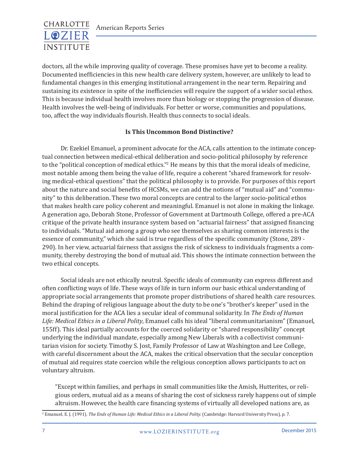

doctors, all the while improving quality of coverage. These promises have yet to become a reality. Documented inefficiencies in this new health care delivery system, however, are unlikely to lead to fundamental changes in this emerging institutional arrangement in the near term. Repairing and sustaining its existence in spite of the inefficiencies will require the support of a wider social ethos. This is because individual health involves more than biology or stopping the progression of disease. Health involves the well-being of individuals. For better or worse, communities and populations, too, affect the way individuals flourish. Health thus connects to social ideals.

#### **Is This Uncommon Bond Distinctive?**

Dr. Ezekiel Emanuel, a prominent advocate for the ACA, calls attention to the intimate conceptual connection between medical-ethical deliberation and socio-political philosophy by reference to the "political conception of medical ethics."<sup>2</sup> He means by this that the moral ideals of medicine, most notable among them being the value of life, require a coherent "shared framework for resolving medical-ethical questions" that the political philosophy is to provide. For purposes of this report about the nature and social benefits of HCSMs, we can add the notions of "mutual aid" and "community" to this deliberation. These two moral concepts are central to the larger socio-political ethos that makes health care policy coherent and meaningful. Emanuel is not alone in making the linkage. A generation ago, Deborah Stone, Professor of Government at Dartmouth College, offered a pre-ACA critique of the private health insurance system based on "actuarial fairness" that assigned financing to individuals. "Mutual aid among a group who see themselves as sharing common interests is the essence of community," which she said is true regardless of the specific community (Stone, 289 - 290). In her view, actuarial fairness that assigns the risk of sickness to individuals fragments a community, thereby destroying the bond of mutual aid. This shows the intimate connection between the two ethical concepts.

Social ideals are not ethically neutral. Specific ideals of community can express different and often conflicting ways of life. These ways of life in turn inform our basic ethical understanding of appropriate social arrangements that promote proper distributions of shared health care resources. Behind the draping of religious language about the duty to be one's "brother's keeper" used in the moral justification for the ACA lies a secular ideal of communal solidarity. In *The Ends of Human Life: Medical Ethics in a Liberal Polity*, Emanuel calls his ideal "liberal communitarianism" (Emanuel, 155ff). This ideal partially accounts for the coerced solidarity or "shared responsibility" concept underlying the individual mandate, especially among New Liberals with a collectivist communitarian vision for society. Timothy S. Jost, Family Professor of Law at Washington and Lee College, with careful discernment about the ACA, makes the critical observation that the secular conception of mutual aid requires state coercion while the religious conception allows participants to act on voluntary altruism.

"Except within families, and perhaps in small communities like the Amish, Hutterites, or religious orders, mutual aid as a means of sharing the cost of sickness rarely happens out of simple altruism. However, the health care financing systems of virtually all developed nations are, as

<sup>&</sup>lt;sup>2</sup> Emanuel, E. J. (1991). *The Ends of Human Life: Medical Ethics in a Liberal Polity.* (Cambridge: Harvard University Press), p. 7.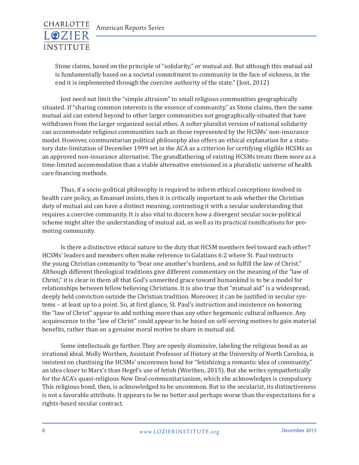

Stone claims, based on the principle of "solidarity," or mutual aid. But although this mutual aid is fundamentally based on a societal commitment to community in the face of sickness, in the end it is implemented through the coercive authority of the state." (Jost, 2012)

Jost need not limit the "simple altruism" to small religious communities geographically situated. If "sharing common interests is the essence of community," as Stone claims, then the same mutual aid can extend beyond to other larger communities not geographically-situated that have withdrawn from the larger organized social ethos. A softer pluralist version of national solidarity can accommodate religious communities such as those represented by the HCSMs' non-insurance model. However, communitarian political philosophy also offers an ethical explanation for a statutory date-limitation of December 1999 set in the ACA as a criterion for certifying eligible HCSMs as an approved non-insurance alternative. The grandfathering of existing HCSMs treats them more as a time-limited accommodation than a viable alternative envisioned in a pluralistic universe of health care financing methods.

Thus, if a socio-political philosophy is required to inform ethical conceptions involved in health care policy, as Emanuel insists, then it is critically important to ask whether the Christian duty of mutual aid can have a distinct meaning, contrasting it with a secular understanding that requires a coercive community. It is also vital to discern how a divergent secular socio-political scheme might alter the understanding of mutual aid, as well as its practical ramifications for promoting community.

Is there a distinctive ethical nature to the duty that HCSM members feel toward each other? HCSMs' leaders and members often make reference to Galatians 6:2 where St. Paul instructs the young Christian community to "bear one another's burdens, and so fulfill the law of Christ." Although different theological traditions give different commentary on the meaning of the "law of Christ," it is clear in them all that God's unmerited grace toward humankind is to be a model for relationships between fellow believing Christians. It is also true that "mutual aid" is a widespread, deeply held conviction outside the Christian tradition. Moreover, it can be justified in secular systems – at least up to a point. So, at first glance, St. Paul's instruction and insistence on honoring the "law of Christ" appear to add nothing more than any other hegemonic cultural influence. Any acquiescence to the "law of Christ" could appear to be based on self-serving motives to gain material benefits, rather than on a genuine moral motive to share in mutual aid.

Some intellectuals go further. They are openly dismissive, labeling the religious bond as an irrational ideal. Molly Worthen, Assistant Professor of History at the University of North Carolina, is insistent on chastising the HCSMs' uncommon bond for "fetishizing a romantic idea of community," an idea closer to Marx's than Hegel's use of fetish (Worthen, 2015). But she writes sympathetically for the ACA's quasi-religious New Deal communitarianism, which she acknowledges is compulsory. This religious bond, then, is acknowledged to be uncommon. But to the secularist, its distinctiveness is not a favorable attribute. It appears to be no better and perhaps worse than the expectations for a rights-based secular contract.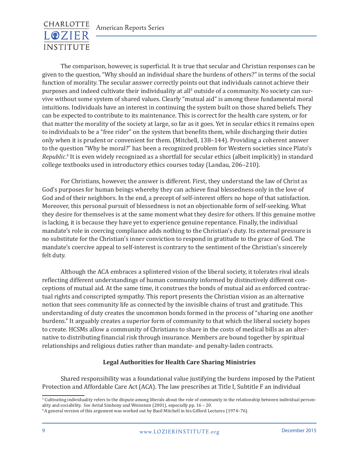# CHARLOTTE **LOZIER INSTITUTE**

The comparison, however, is superficial. It is true that secular and Christian responses can be given to the question, "Why should an individual share the burdens of others?" in terms of the social function of morality. The secular answer correctly points out that individuals cannot achieve their purposes and indeed cultivate their individuality at all<sup>3</sup> outside of a community. No society can survive without some system of shared values. Clearly "mutual aid" is among these fundamental moral intuitions. Individuals have an interest in continuing the system built on those shared beliefs. They can be expected to contribute to its maintenance. This is correct for the health care system, or for that matter the morality of the society at large, so far as it goes. Yet in secular ethics it remains open to individuals to be a "free rider" on the system that benefits them, while discharging their duties only when it is prudent or convenient for them. (Mitchell, 138–144). Providing a coherent answer to the question "Why be moral?" has been a recognized problem for Western societies since Plato's *Republic*. 4 It is even widely recognized as a shortfall for secular ethics (albeit implicitly) in standard college textbooks used in introductory ethics courses today (Landau, 206–210).

For Christians, however, the answer is different. First, they understand the law of Christ as God's purposes for human beings whereby they can achieve final blessedness only in the love of God and of their neighbors. In the end, a precept of self-interest offers no hope of that satisfaction. Moreover, this personal pursuit of blessedness is not an objectionable form of self-seeking. What they desire for themselves is at the same moment what they desire for others. If this genuine motive is lacking, it is because they have yet to experience genuine repentance. Finally, the individual mandate's role in coercing compliance adds nothing to the Christian's duty. Its external pressure is no substitute for the Christian's inner conviction to respond in gratitude to the grace of God. The mandate's coercive appeal to self-interest is contrary to the sentiment of the Christian's sincerely felt duty.

Although the ACA embraces a splintered vision of the liberal society, it tolerates rival ideals reflecting different understandings of human community informed by distinctively different conceptions of mutual aid. At the same time, it construes the bonds of mutual aid as enforced contractual rights and conscripted sympathy. This report presents the Christian vision as an alternative notion that sees community life as connected by the invisible chains of trust and gratitude. This understanding of duty creates the uncommon bonds formed in the process of "sharing one another burdens." It arguably creates a superior form of community to that which the liberal society hopes to create. HCSMs allow a community of Christians to share in the costs of medical bills as an alternative to distributing financial risk through insurance. Members are bound together by spiritual relationships and religious duties rather than mandate- and penalty-laden contracts.

#### **Legal Authorities for Health Care Sharing Ministries**

Shared responsibility was a foundational value justifying the burdens imposed by the Patient Protection and Affordable Care Act (ACA). The law prescribes at Title I, Subtitle F an individual

<sup>3</sup> Cultivating individuality refers to the dispute among liberals about the role of community in the relationship between individual personality and sociability. See Avital Simhony and Weinstein (2001), especially pp. 16 – 20.

<sup>4</sup> A general version of this argument was worked out by Basil Mitchell in his Gifford Lectures (1974–76).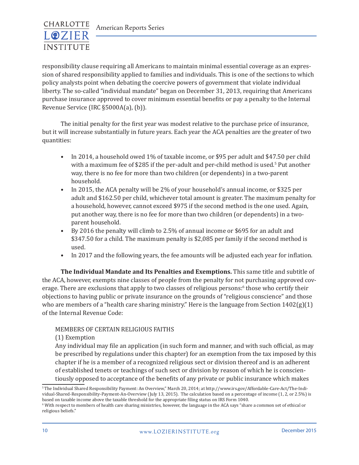

responsibility clause requiring all Americans to maintain minimal essential coverage as an expression of shared responsibility applied to families and individuals. This is one of the sections to which policy analysts point when debating the coercive powers of government that violate individual liberty. The so-called "individual mandate" began on December 31, 2013, requiring that Americans purchase insurance approved to cover minimum essential benefits or pay a penalty to the Internal Revenue Service (IRC §5000A(a), (b)).

The initial penalty for the first year was modest relative to the purchase price of insurance, but it will increase substantially in future years. Each year the ACA penalties are the greater of two quantities:

- In 2014, a household owed 1% of taxable income, or \$95 per adult and \$47.50 per child with a maximum fee of \$285 if the per-adult and per-child method is used.<sup>5</sup> Put another way, there is no fee for more than two children (or dependents) in a two-parent household.
- In 2015, the ACA penalty will be 2% of your household's annual income, or \$325 per adult and \$162.50 per child, whichever total amount is greater. The maximum penalty for a household, however, cannot exceed \$975 if the second method is the one used. Again, put another way, there is no fee for more than two children (or dependents) in a twoparent household.
- By 2016 the penalty will climb to 2.5% of annual income or \$695 for an adult and \$347.50 for a child. The maximum penalty is \$2,085 per family if the second method is used.
- In 2017 and the following years, the fee amounts will be adjusted each year for inflation.

**The Individual Mandate and Its Penalties and Exemptions.** This same title and subtitle of the ACA, however, exempts nine classes of people from the penalty for not purchasing approved coverage. There are exclusions that apply to two classes of religious persons:<sup>6</sup> those who certify their objections to having public or private insurance on the grounds of "religious conscience" and those who are members of a "health care sharing ministry." Here is the language from Section  $1402(g)(1)$ of the Internal Revenue Code:

#### MEMBERS OF CERTAIN RELIGIOUS FAITHS

(1) Exemption

Any individual may file an application (in such form and manner, and with such official, as may be prescribed by regulations under this chapter) for an exemption from the tax imposed by this chapter if he is a member of a recognized religious sect or division thereof and is an adherent of established tenets or teachings of such sect or division by reason of which he is conscientiously opposed to acceptance of the benefits of any private or public insurance which makes

<sup>5</sup>The Individual Shared Responsibility Payment: An Overview," March 20, 2014; at http://www.irs.gov/Affordable-Care-Act/The-Individual-Shared-Responsibility-Payment-An-Overview (July 13, 2015). The calculation based on a percentage of income (1, 2, or 2.5%) is based on taxable income above the taxable threshold for the appropriate filing status on IRS Form 1040.

 $^{\rm 6}$  With respect to members of health care sharing ministries, however, the language in the ACA says "share a common set of ethical or  $\,$ religious beliefs."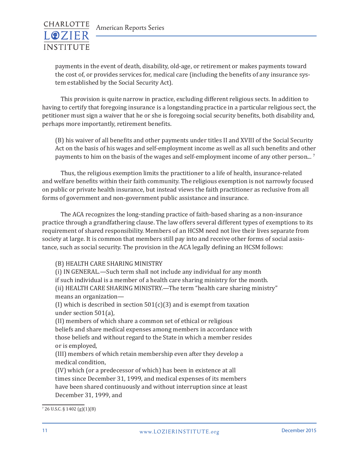

payments in the event of death, disability, old-age, or retirement or makes payments toward the cost of, or provides services for, medical care (including the benefits of any insurance system established by the Social Security Act).

This provision is quite narrow in practice, excluding different religious sects. In addition to having to certify that foregoing insurance is a longstanding practice in a particular religious sect, the petitioner must sign a waiver that he or she is foregoing social security benefits, both disability and, perhaps more importantly, retirement benefits.

(B) his waiver of all benefits and other payments under titles II and XVIII of the Social Security Act on the basis of his wages and self-employment income as well as all such benefits and other payments to him on the basis of the wages and self-employment income of any other person... <sup>7</sup>

Thus, the religious exemption limits the practitioner to a life of health, insurance-related and welfare benefits within their faith community. The religious exemption is not narrowly focused on public or private health insurance, but instead views the faith practitioner as reclusive from all forms of government and non-government public assistance and insurance.

The ACA recognizes the long-standing practice of faith-based sharing as a non-insurance practice through a grandfathering clause. The law offers several different types of exemptions to its requirement of shared responsibility. Members of an HCSM need not live their lives separate from society at large. It is common that members still pay into and receive other forms of social assistance, such as social security. The provision in the ACA legally defining an HCSM follows:

#### (B) HEALTH CARE SHARING MINISTRY

(i) IN GENERAL.—Such term shall not include any individual for any month if such individual is a member of a health care sharing ministry for the month. (ii) HEALTH CARE SHARING MINISTRY.—The term "health care sharing ministry" means an organization—

(I) which is described in section  $501(c)(3)$  and is exempt from taxation under section 501(a),

(II) members of which share a common set of ethical or religious beliefs and share medical expenses among members in accordance with those beliefs and without regard to the State in which a member resides or is employed,

(III) members of which retain membership even after they develop a medical condition,

(IV) which (or a predecessor of which) has been in existence at all times since December 31, 1999, and medical expenses of its members have been shared continuously and without interruption since at least December 31, 1999, and

 $\frac{7}{26}$  U.S.C. § 1402 (g)(1)(B)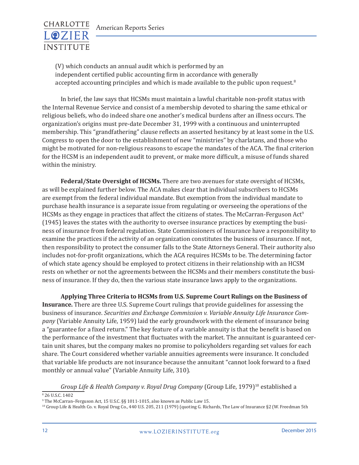

(V) which conducts an annual audit which is performed by an independent certified public accounting firm in accordance with generally accepted accounting principles and which is made available to the public upon request. $8$ 

In brief, the law says that HCSMs must maintain a lawful charitable non-profit status with the Internal Revenue Service and consist of a membership devoted to sharing the same ethical or religious beliefs, who do indeed share one another's medical burdens after an illness occurs. The organization's origins must pre-date December 31, 1999 with a continuous and uninterrupted membership. This "grandfathering" clause reflects an asserted hesitancy by at least some in the U.S. Congress to open the door to the establishment of new "ministries" by charlatans, and those who might be motivated for non-religious reasons to escape the mandates of the ACA. The final criterion for the HCSM is an independent audit to prevent, or make more difficult, a misuse of funds shared within the ministry.

**Federal/State Oversight of HCSMs.** There are two avenues for state oversight of HCSMs, as will be explained further below. The ACA makes clear that individual subscribers to HCSMs are exempt from the federal individual mandate. But exemption from the individual mandate to purchase health insurance is a separate issue from regulating or overseeing the operations of the HCSMs as they engage in practices that affect the citizens of states. The McCarran-Ferguson Act<sup>9</sup> (1945) leaves the states with the authority to oversee insurance practices by exempting the business of insurance from federal regulation. State Commissioners of Insurance have a responsibility to examine the practices if the activity of an organization constitutes the business of insurance. If not, then responsibility to protect the consumer falls to the State Attorneys General. Their authority also includes not-for-profit organizations, which the ACA requires HCSMs to be. The determining factor of which state agency should be employed to protect citizens in their relationship with an HCSM rests on whether or not the agreements between the HCSMs and their members constitute the business of insurance. If they do, then the various state insurance laws apply to the organizations.

**Applying Three Criteria to HCSMs from U.S. Supreme Court Rulings on the Business of Insurance.** There are three U.S. Supreme Court rulings that provide guidelines for assessing the business of insurance. *Securities and Exchange Commission v. Variable Annuity Life Insurance Company* (Variable Annuity Life, 1959) laid the early groundwork with the element of insurance being a "guarantee for a fixed return." The key feature of a variable annuity is that the benefit is based on the performance of the investment that fluctuates with the market. The annuitant is guaranteed certain unit shares, but the company makes no promise to policyholders regarding set values for each share. The Court considered whether variable annuities agreements were insurance. It concluded that variable life products are not insurance because the annuitant "cannot look forward to a fixed monthly or annual value" (Variable Annuity Life, 310).

*Group Life & Health Company v. Royal Drug Company* (Group Life, 1979)10 established a

8 26 U.S.C. 1402

10 Group Life & Health Co. v. Royal Drug Co., 440 U.S. 205, 211 (1979) (quoting G. Richards, The Law of Insurance §2 (W. Freedman 5th

<sup>9</sup> The McCarran–Ferguson Act, 15 U.S.C. §§ 1011-1015, also known as Public Law 15.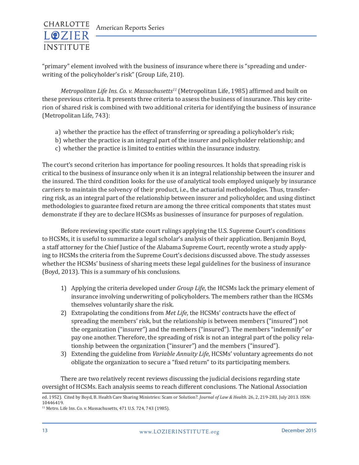

"primary" element involved with the business of insurance where there is "spreading and underwriting of the policyholder's risk" (Group Life, 210).

*Metropolitan Life Ins. Co. v. Massachusetts11* (Metropolitan Life, 1985) affirmed and built on these previous criteria. It presents three criteria to assess the business of insurance. This key criterion of shared risk is combined with two additional criteria for identifying the business of insurance (Metropolitan Life, 743):

- a) whether the practice has the effect of transferring or spreading a policyholder's risk;
- b) whether the practice is an integral part of the insurer and policyholder relationship; and
- c) whether the practice is limited to entities within the insurance industry.

The court's second criterion has importance for pooling resources. It holds that spreading risk is critical to the business of insurance only when it is an integral relationship between the insurer and the insured. The third condition looks for the use of analytical tools employed uniquely by insurance carriers to maintain the solvency of their product, i.e., the actuarial methodologies. Thus, transferring risk, as an integral part of the relationship between insurer and policyholder, and using distinct methodologies to guarantee fixed return are among the three critical components that states must demonstrate if they are to declare HCSMs as businesses of insurance for purposes of regulation.

Before reviewing specific state court rulings applying the U.S. Supreme Court's conditions to HCSMs, it is useful to summarize a legal scholar's analysis of their application. Benjamin Boyd, a staff attorney for the Chief Justice of the Alabama Supreme Court, recently wrote a study applying to HCSMs the criteria from the Supreme Court's decisions discussed above. The study assesses whether the HCSMs' business of sharing meets these legal guidelines for the business of insurance (Boyd, 2013). This is a summary of his conclusions.

- 1) Applying the criteria developed under *Group Life*, the HCSMs lack the primary element of insurance involving underwriting of policyholders. The members rather than the HCSMs themselves voluntarily share the risk.
- 2) Extrapolating the conditions from *Met Life*, the HCSMs' contracts have the effect of spreading the members' risk, but the relationship is between members ("insured") not the organization ("insurer") and the members ("insured"). The members "indemnify" or pay one another. Therefore, the spreading of risk is not an integral part of the policy relationship between the organization ("insurer") and the members ("insured").
- 3) Extending the guideline from *Variable Annuity Life*, HCSMs' voluntary agreements do not obligate the organization to secure a "fixed return" to its participating members.

There are two relatively recent reviews discussing the judicial decisions regarding state oversight of HCSMs. Each analysis seems to reach different conclusions. The National Association

ed. 1952). Cited by Boyd, B. Health Care Sharing Ministries: Scam or Solution?. *Journal of Law & Health.* 26, 2, 219-283, July 2013. ISSN: 10446419.

<sup>&</sup>lt;sup>11</sup> Metro. Life Ins. Co. v. Massachusetts, 471 U.S. 724, 743 (1985).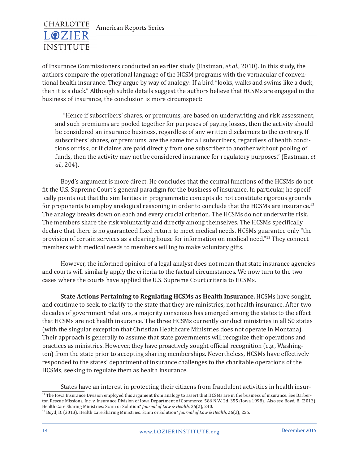

of Insurance Commissioners conducted an earlier study (Eastman, *et al*., 2010). In this study, the authors compare the operational language of the HCSM programs with the vernacular of conventional health insurance. They argue by way of analogy: If a bird "looks, walks and swims like a duck, then it is a duck." Although subtle details suggest the authors believe that HCSMs are engaged in the business of insurance, the conclusion is more circumspect:

"Hence if subscribers' shares, or premiums, are based on underwriting and risk assessment, and such premiums are pooled together for purposes of paying losses, then the activity should be considered an insurance business, regardless of any written disclaimers to the contrary. If subscribers' shares, or premiums, are the same for all subscribers, regardless of health conditions or risk, or if claims are paid directly from one subscriber to another without pooling of funds, then the activity may not be considered insurance for regulatory purposes." (Eastman, *et al.*, 204).

Boyd's argument is more direct. He concludes that the central functions of the HCSMs do not fit the U.S. Supreme Court's general paradigm for the business of insurance. In particular, he specifically points out that the similarities in programmatic concepts do not constitute rigorous grounds for proponents to employ analogical reasoning in order to conclude that the HCSMs are insurance.<sup>12</sup> The analogy breaks down on each and every crucial criterion. The HCSMs do not underwrite risk. The members share the risk voluntarily and directly among themselves. The HCSMs specifically declare that there is no guaranteed fixed return to meet medical needs. HCSMs guarantee only "the provision of certain services as a clearing house for information on medical need."13 They connect members with medical needs to members willing to make voluntary gifts.

However, the informed opinion of a legal analyst does not mean that state insurance agencies and courts will similarly apply the criteria to the factual circumstances. We now turn to the two cases where the courts have applied the U.S. Supreme Court criteria to HCSMs.

**State Actions Pertaining to Regulating HCSMs as Health Insurance.** HCSMs have sought, and continue to seek, to clarify to the state that they are ministries, not health insurance. After two decades of government relations, a majority consensus has emerged among the states to the effect that HCSMs are not health insurance. The three HCSMs currently conduct ministries in all 50 states (with the singular exception that Christian Healthcare Ministries does not operate in Montana). Their approach is generally to assume that state governments will recognize their operations and practices as ministries. However, they have proactively sought official recognition (e.g., Washington) from the state prior to accepting sharing memberships. Nevertheless, HCSMs have effectively responded to the states' department of insurance challenges to the charitable operations of the HCSMs, seeking to regulate them as health insurance.

States have an interest in protecting their citizens from fraudulent activities in health insur-

 $12$  The Iowa Insurance Division employed this argument from analogy to assert that HCSMs are in the business of insurance. See Barberton Rescue Missions, Inc. v. Insurance Division of Iowa Department of Commerce, 586 N.W. 2d. 355 (Iowa 1998). Also see Boyd, B. (2013). Health Care Sharing Ministries: Scam or Solution? *Journal of Law & Health*, 26(2), 240.

<sup>13</sup> Boyd, B. (2013). Health Care Sharing Ministries: Scam or Solution? *Journal of Law & Health*, 26(2), 256.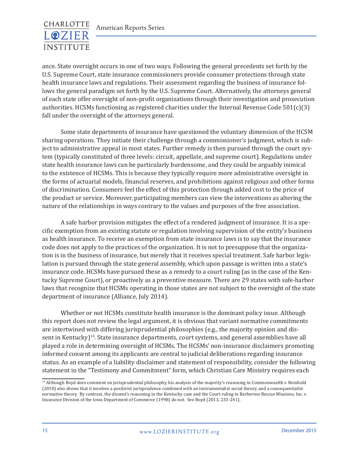

ance. State oversight occurs in one of two ways. Following the general precedents set forth by the U.S. Supreme Court, state insurance commissioners provide consumer protections through state health insurance laws and regulations. Their assessment regarding the business of insurance follows the general paradigm set forth by the U.S. Supreme Court. Alternatively, the attorneys general of each state offer oversight of non-profit organizations through their investigation and prosecution authorities. HCSMs functioning as registered charities under the Internal Revenue Code  $501(c)(3)$ fall under the oversight of the attorneys general.

Some state departments of insurance have questioned the voluntary dimension of the HCSM sharing operations. They initiate their challenge through a commissioner's judgment, which is subject to administrative appeal in most states. Further remedy is then pursued through the court system (typically constituted of three levels: circuit, appellate, and supreme court). Regulations under state health insurance laws can be particularly burdensome, and they could be arguably inimical to the existence of HCSMs. This is because they typically require more administrative oversight in the forms of actuarial models, financial reserves, and prohibitions against religious and other forms of discrimination. Consumers feel the effect of this protection through added cost to the price of the product or service. Moreover, participating members can view the interventions as altering the nature of the relationships in ways contrary to the values and purposes of the free association.

A safe harbor provision mitigates the effect of a rendered judgment of insurance. It is a specific exemption from an existing statute or regulation involving supervision of the entity's business as health insurance. To receive an exemption from state insurance laws is to say that the insurance code does not apply to the practices of the organization. It is not to presuppose that the organization is in the business of insurance, but merely that it receives special treatment. Safe harbor legislation is pursued through the state general assembly, which upon passage is written into a state's insurance code. HCSMs have pursued these as a remedy to a court ruling (as in the case of the Kentucky Supreme Court), or proactively as a preventive measure. There are 29 states with safe-harbor laws that recognize that HCSMs operating in those states are not subject to the oversight of the state department of insurance (Alliance, July 2014).

Whether or not HCSMs constitute health insurance is the dominant policy issue. Although this report does not review the legal argument, it is obvious that variant normative commitments are intertwined with differing jurisprudential philosophies (e.g., the majority opinion and dissent in Kentucky)<sup>14</sup>. State insurance departments, court systems, and general assemblies have all played a role in determining oversight of HCSMs. The HCSMs' non-insurance disclaimers promoting informed consent among its applicants are central to judicial deliberations regarding insurance status. As an example of a liability disclaimer and statement of responsibility, consider the following statement in the "Testimony and Commitment" form, which Christian Care Ministry requires each

<sup>&</sup>lt;sup>14</sup> Although Boyd does comment on jurisprudential philosophy, his analysis of the majority's reasoning in Commonwealth v. Reinhold (2010) also shows that it involves a positivist jurisprudence combined with an instrumentalist social theory, and a consequentialist normative theory. By contrast, the dissent's reasoning in the Kentucky case and the Court ruling in Barberton Rescue Missions, Inc. v. Insurance Division of the Iowa Department of Commerce (1998) do not. See Boyd (2013, 233-241).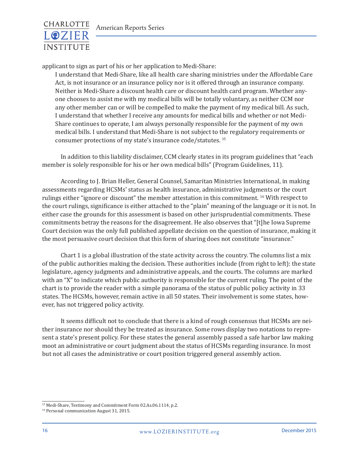

applicant to sign as part of his or her application to Medi-Share:

I understand that Medi-Share, like all health care sharing ministries under the Affordable Care Act, is not insurance or an insurance policy nor is it offered through an insurance company. Neither is Medi-Share a discount health care or discount health card program. Whether anyone chooses to assist me with my medical bills will be totally voluntary, as neither CCM nor any other member can or will be compelled to make the payment of my medical bill. As such, I understand that whether I receive any amounts for medical bills and whether or not Medi-Share continues to operate, I am always personally responsible for the payment of my own medical bills. I understand that Medi-Share is not subject to the regulatory requirements or consumer protections of my state's insurance code/statutes. <sup>15</sup>

In addition to this liability disclaimer, CCM clearly states in its program guidelines that "each member is solely responsible for his or her own medical bills" (Program Guidelines, 11).

According to J. Brian Heller, General Counsel, Samaritan Ministries International, in making assessments regarding HCSMs' status as health insurance, administrative judgments or the court rulings either "ignore or discount" the member attestation in this commitment. 16 With respect to the court rulings, significance is either attached to the "plain" meaning of the language or it is not. In either case the grounds for this assessment is based on other jurisprudential commitments. These commitments betray the reasons for the disagreement. He also observes that "[t]he Iowa Supreme Court decision was the only full published appellate decision on the question of insurance, making it the most persuasive court decision that this form of sharing does not constitute "insurance."

Chart 1 is a global illustration of the state activity across the country. The columns list a mix of the public authorities making the decision. These authorities include (from right to left): the state legislature, agency judgments and administrative appeals, and the courts. The columns are marked with an "X" to indicate which public authority is responsible for the current ruling. The point of the chart is to provide the reader with a simple panorama of the status of public policy activity in 33 states. The HCSMs, however, remain active in all 50 states. Their involvement is some states, however, has not triggered policy activity.

It seems difficult not to conclude that there is a kind of rough consensus that HCSMs are neither insurance nor should they be treated as insurance. Some rows display two notations to represent a state's present policy. For these states the general assembly passed a safe harbor law making moot an administrative or court judgment about the status of HCSMs regarding insurance. In most but not all cases the administrative or court position triggered general assembly action.

<sup>15</sup> Medi-Share, Testimony and Commitment Form 02.As.06.1114, p.2.

<sup>16</sup> Personal communication August 31, 2015.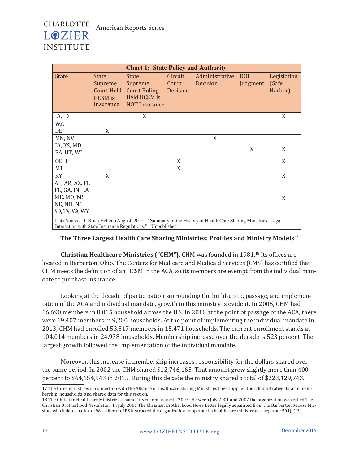

| <b>Chart 1: State Policy and Authority</b>                                     |                                                                                                                                                                                 |                                                                                        |                              |                                   |                        |                                 |  |
|--------------------------------------------------------------------------------|---------------------------------------------------------------------------------------------------------------------------------------------------------------------------------|----------------------------------------------------------------------------------------|------------------------------|-----------------------------------|------------------------|---------------------------------|--|
| <b>State</b>                                                                   | <b>State</b><br>Supreme<br><b>Court Held</b><br><b>HCSM</b> is<br>Insurance                                                                                                     | <b>State</b><br>Supreme<br><b>Court Ruling</b><br>Held HCSM is<br><b>NOT Insurance</b> | Circuit<br>Court<br>Decision | Administrative<br><b>Decision</b> | <b>DOI</b><br>Judgment | Legislation<br>(Safe<br>Harbor) |  |
| IA, ID                                                                         |                                                                                                                                                                                 | X                                                                                      |                              |                                   |                        | X                               |  |
| WA                                                                             |                                                                                                                                                                                 |                                                                                        |                              |                                   |                        |                                 |  |
| DE                                                                             | X                                                                                                                                                                               |                                                                                        |                              |                                   |                        |                                 |  |
| MN, NV                                                                         |                                                                                                                                                                                 |                                                                                        |                              | X                                 |                        |                                 |  |
| IA, KS, MD,<br>PA, UT, WI                                                      |                                                                                                                                                                                 |                                                                                        |                              |                                   | X                      | X                               |  |
| OK, IL                                                                         |                                                                                                                                                                                 |                                                                                        | X                            |                                   |                        | X                               |  |
| <b>MT</b>                                                                      |                                                                                                                                                                                 |                                                                                        | X                            |                                   |                        |                                 |  |
| KY                                                                             | X                                                                                                                                                                               |                                                                                        |                              |                                   |                        | X                               |  |
| AL, AR, AZ, FL<br>FL, GA, IN, LA<br>ME, MO, MS<br>NE, NH, NC<br>SD, TX, VA, WY |                                                                                                                                                                                 |                                                                                        |                              |                                   |                        | X                               |  |
|                                                                                | Data Source: J. Brian Heller, (August, 2015). "Summary of the History of Health Care Sharing Ministries' Legal<br>Interaction with State Insurance Regulations." (Unpublished). |                                                                                        |                              |                                   |                        |                                 |  |

#### **The Three Largest Health Care Sharing Ministries: Profiles and Ministry Models**<sup>17</sup>

**Christian Healthcare Ministries ("CHM").** CHM was founded in 1981.18 Its offices are located in Barberton, Ohio. The Centers for Medicare and Medicaid Services (CMS) has certified that CHM meets the definition of an HCSM in the ACA, so its members are exempt from the individual mandate to purchase insurance.

Looking at the decade of participation surrounding the build-up to, passage, and implementation of the ACA and individual mandate, growth in this ministry is evident. In 2005, CHM had 16,690 members in 8,015 household across the U.S. In 2010 at the point of passage of the ACA, there were 19,407 members in 9,200 households. At the point of implementing the individual mandate in 2013, CHM had enrolled 53,517 members in 15,471 households. The current enrollment stands at 104,014 members in 24,938 households. Membership increase over the decade is 523 percent. The largest growth followed the implementation of the individual mandate.

Moreover, this increase in membership increases responsibility for the dollars shared over the same period. In 2002 the CHM shared \$12,746,165. That amount grew slightly more than 400 percent to \$64,654,943 in 2015. During this decade the ministry shared a total of \$223,129,743.

<sup>17</sup> The three ministries in connection with the Alliance of Healthcare Sharing Ministries have supplied the administrative data on membership, households, and shared data for this section.

<sup>18</sup> The Christian Healthcare Ministries assumed its current name in 2007. Between July 2001 and 2007 the organization was called The Christian Brotherhood Newsletter. In July 2001 The Christian Brotherhood News Letter legally separated from the Barberton Recuse Mission, which dates back to 1981, after the IRS instructed the organization to operate its health care ministry as a separate  $501(c)(3)$ .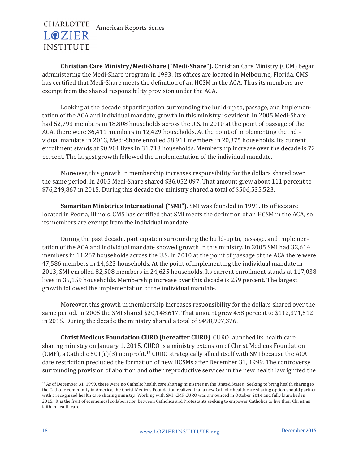

**Christian Care Ministry/Medi-Share ("Medi-Share").** Christian Care Ministry (CCM) began administering the Medi-Share program in 1993. Its offices are located in Melbourne, Florida. CMS has certified that Medi-Share meets the definition of an HCSM in the ACA. Thus its members are exempt from the shared responsibility provision under the ACA.

Looking at the decade of participation surrounding the build-up to, passage, and implementation of the ACA and individual mandate, growth in this ministry is evident. In 2005 Medi-Share had 52,793 members in 18,808 households across the U.S. In 2010 at the point of passage of the ACA, there were 36,411 members in 12,429 households. At the point of implementing the individual mandate in 2013, Medi-Share enrolled 58,911 members in 20,375 households. Its current enrollment stands at 90,901 lives in 31,713 households. Membership increase over the decade is 72 percent. The largest growth followed the implementation of the individual mandate.

Moreover, this growth in membership increases responsibility for the dollars shared over the same period. In 2005 Medi-Share shared \$36,052,097. That amount grew about 111 percent to \$76,249,867 in 2015. During this decade the ministry shared a total of \$506,535,523.

**Samaritan Ministries International ("SMI")**. SMI was founded in 1991. Its offices are located in Peoria, Illinois. CMS has certified that SMI meets the definition of an HCSM in the ACA, so its members are exempt from the individual mandate.

During the past decade, participation surrounding the build-up to, passage, and implementation of the ACA and individual mandate showed growth in this ministry. In 2005 SMI had 32,614 members in 11,267 households across the U.S. In 2010 at the point of passage of the ACA there were 47,586 members in 14,623 households. At the point of implementing the individual mandate in 2013, SMI enrolled 82,508 members in 24,625 households. Its current enrollment stands at 117,038 lives in 35,159 households. Membership increase over this decade is 259 percent. The largest growth followed the implementation of the individual mandate.

Moreover, this growth in membership increases responsibility for the dollars shared over the same period. In 2005 the SMI shared \$20,148,617. That amount grew 458 percent to \$112,371,512 in 2015. During the decade the ministry shared a total of \$498,907,376.

**Christ Medicus Foundation CURO (hereafter CURO)**. CURO launched its health care sharing ministry on January 1, 2015. CURO is a ministry extension of Christ Medicus Foundation (CMF), a Catholic  $501(c)(3)$  nonprofit.<sup>19</sup> CURO strategically allied itself with SMI because the ACA date restriction precluded the formation of new HCSMs after December 31, 1999. The controversy surrounding provision of abortion and other reproductive services in the new health law ignited the

<sup>&</sup>lt;sup>19</sup> As of December 31, 1999, there were no Catholic health care sharing ministries in the United States. Seeking to bring health sharing to the Catholic community in America, the Christ Medicus Foundation realized that a new Catholic health care sharing option should partner with a recognized health care sharing ministry. Working with SMI, CMF CURO was announced in October 2014 and fully launched in 2015. It is the fruit of ecumenical collaboration between Catholics and Protestants seeking to empower Catholics to live their Christian faith in health care.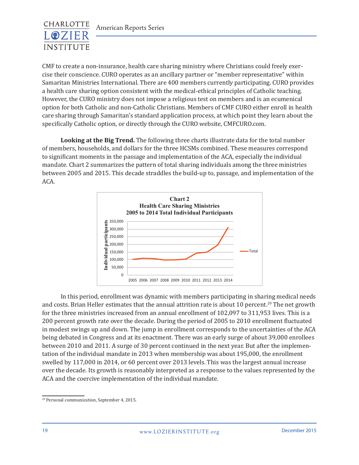

CMF to create a non-insurance, health care sharing ministry where Christians could freely exercise their conscience. CURO operates as an ancillary partner or "member representative" within Samaritan Ministries International. There are 400 members currently participating. CURO provides a health care sharing option consistent with the medical-ethical principles of Catholic teaching. However, the CURO ministry does not impose a religious test on members and is an ecumenical option for both Catholic and non-Catholic Christians. Members of CMF CURO either enroll in health care sharing through Samaritan's standard application process, at which point they learn about the specifically Catholic option, or directly through the CURO website, CMFCURO.com.

**Looking at the Big Trend.** The following three charts illustrate data for the total number of members, households, and dollars for the three HCSMs combined. These measures correspond to significant moments in the passage and implementation of the ACA, especially the individual mandate. Chart 2 summarizes the pattern of total sharing individuals among the three ministries  $\,$ between 2005 and 2015. This decade straddles the build-up to, passage, and implementation of the ACA.



In this period, enrollment was dynamic with members participating in sharing medical needs and costs. Brian Heller estimates that the annual attrition rate is about 10 percent.<sup>20</sup> The net growth for the three ministries increased from an annual enrollment of 102,097 to 311,953 lives. This is a 200 percent growth rate over the decade. During the period of 2005 to 2010 enrollment fluctuated in modest swings up and down. The jump in enrollment corresponds to the uncertainties of the ACA being debated in Congress and at its enactment. There was an early surge of about 39,000 enrollees between 2010 and 2011. A surge of 30 percent continued in the next year. But after the implementation of the individual mandate in 2013 when membership was about 195,000, the enrollment swelled by 117,000 in 2014, or 60 percent over 2013 levels. This was the largest annual increase over the decade. Its growth is reasonably interpreted as a response to the values represented by the ACA and the coercive implementation of the individual mandate.

<sup>20</sup> Personal communication, September 4, 2015.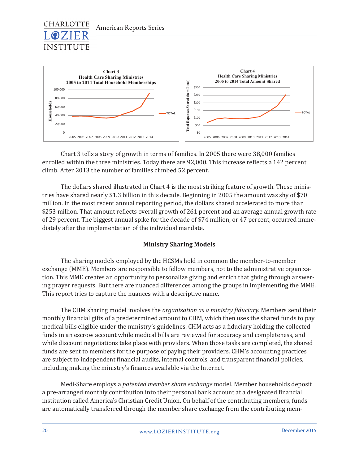



Chart 3 tells a story of growth in terms of families. In 2005 there were 38,000 families enrolled within the three ministries. Today there are 92,000. This increase reflects a 142 percent climb. After 2013 the number of families climbed 52 percent.

The dollars shared illustrated in Chart 4 is the most striking feature of growth. These ministries have shared nearly \$1.3 billion in this decade. Beginning in 2005 the amount was shy of \$70 million. In the most recent annual reporting period, the dollars shared accelerated to more than \$253 million. That amount reflects overall growth of 261 percent and an average annual growth rate of 29 percent. The biggest annual spike for the decade of \$74 million, or 47 percent, occurred immediately after the implementation of the individual mandate.

#### **Ministry Sharing Models**

The sharing models employed by the HCSMs hold in common the member-to-member exchange (MME). Members are responsible to fellow members, not to the administrative organization. This MME creates an opportunity to personalize giving and enrich that giving through answering prayer requests. But there are nuanced differences among the groups in implementing the MME. This report tries to capture the nuances with a descriptive name.

The CHM sharing model involves the *organization as a ministry fiduciary.* Members send their monthly financial gifts of a predetermined amount to CHM, which then uses the shared funds to pay medical bills eligible under the ministry's guidelines. CHM acts as a fiduciary holding the collected funds in an escrow account while medical bills are reviewed for accuracy and completeness, and while discount negotiations take place with providers. When those tasks are completed, the shared funds are sent to members for the purpose of paying their providers. CHM's accounting practices are subject to independent financial audits, internal controls, and transparent financial policies, including making the ministry's finances available via the Internet.

Medi-Share employs a *patented member share exchange* model. Member households deposit a pre-arranged monthly contribution into their personal bank account at a designated financial institution called America's Christian Credit Union. On behalf of the contributing members, funds are automatically transferred through the member share exchange from the contributing mem-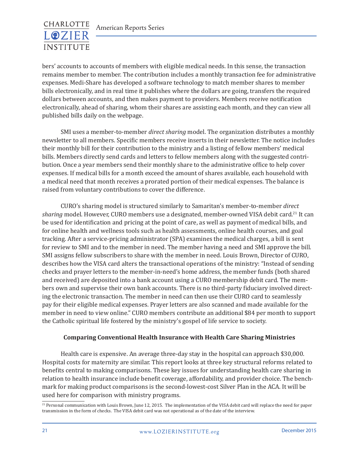

bers' accounts to accounts of members with eligible medical needs. In this sense, the transaction remains member to member. The contribution includes a monthly transaction fee for administrative expenses. Medi-Share has developed a software technology to match member shares to member bills electronically, and in real time it publishes where the dollars are going, transfers the required dollars between accounts, and then makes payment to providers. Members receive notification electronically, ahead of sharing, whom their shares are assisting each month, and they can view all published bills daily on the webpage.

SMI uses a member-to-member *direct sharing* model. The organization distributes a monthly newsletter to all members. Specific members receive inserts in their newsletter. The notice includes their monthly bill for their contribution to the ministry and a listing of fellow members' medical bills. Members directly send cards and letters to fellow members along with the suggested contribution. Once a year members send their monthly share to the administrative office to help cover expenses. If medical bills for a month exceed the amount of shares available, each household with a medical need that month receives a prorated portion of their medical expenses. The balance is raised from voluntary contributions to cover the difference.

CURO's sharing model is structured similarly to Samaritan's member-to-member *direct sharing* model. However, CURO members use a designated, member-owned VISA debit card.<sup>21</sup> It can be used for identification and pricing at the point of care, as well as payment of medical bills, and for online health and wellness tools such as health assessments, online health courses, and goal tracking. After a service-pricing administrator (SPA) examines the medical charges, a bill is sent for review to SMI and to the member in need. The member having a need and SMI approve the bill. SMI assigns fellow subscribers to share with the member in need. Louis Brown, Director of CURO, describes how the VISA card alters the transactional operations of the ministry: "Instead of sending checks and prayer letters to the member-in-need's home address, the member funds (both shared and received) are deposited into a bank account using a CURO membership debit card. The members own and supervise their own bank accounts. There is no third-party fiduciary involved directing the electronic transaction. The member in need can then use their CURO card to seamlessly pay for their eligible medical expenses. Prayer letters are also scanned and made available for the member in need to view online." CURO members contribute an additional \$84 per month to support the Catholic spiritual life fostered by the ministry's gospel of life service to society.

#### **Comparing Conventional Health Insurance with Health Care Sharing Ministries**

Health care is expensive. An average three-day stay in the hospital can approach \$30,000. Hospital costs for maternity are similar. This report looks at three key structural reforms related to benefits central to making comparisons. These key issues for understanding health care sharing in relation to health insurance include benefit coverage, affordability, and provider choice. The benchmark for making product comparisons is the second-lowest-cost Silver Plan in the ACA. It will be used here for comparison with ministry programs.

<sup>&</sup>lt;sup>21</sup> Personal communication with Louis Brown, June 12, 2015. The implementation of the VISA debit card will replace the need for paper transmission in the form of checks. The VISA debit card was not operational as of the date of the interview.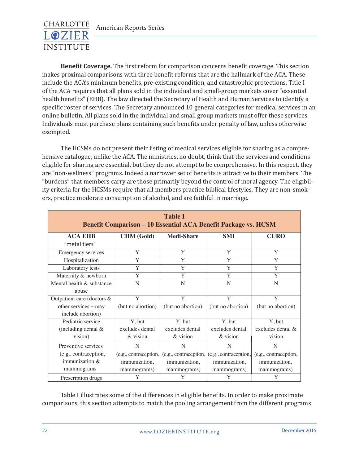

**Benefit Coverage.** The first reform for comparison concerns benefit coverage. This section makes proximal comparisons with three benefit reforms that are the hallmark of the ACA. These include the ACA's minimum benefits, pre-existing condition, and catastrophic protections. Title I of the ACA requires that all plans sold in the individual and small-group markets cover "essential health benefits" (EHB). The law directed the Secretary of Health and Human Services to identify a specific roster of services. The Secretary announced 10 general categories for medical services in an online bulletin. All plans sold in the individual and small group markets must offer these services. Individuals must purchase plans containing such benefits under penalty of law, unless otherwise exempted.

The HCSMs do not present their listing of medical services eligible for sharing as a comprehensive catalogue, unlike the ACA. The ministries, no doubt, think that the services and conditions eligible for sharing are essential, but they do not attempt to be comprehensive. In this respect, they are "non-wellness" programs. Indeed a narrower set of benefits is attractive to their members. The "burdens" that members carry are those primarily beyond the control of moral agency. The eligibility criteria for the HCSMs require that all members practice biblical lifestyles. They are non-smokers, practice moderate consumption of alcohol, and are faithful in marriage.

| <b>Table I</b><br><b>Benefit Comparison - 10 Essential ACA Benefit Package vs. HCSM</b> |                       |                       |                       |                       |  |  |  |  |
|-----------------------------------------------------------------------------------------|-----------------------|-----------------------|-----------------------|-----------------------|--|--|--|--|
| <b>ACA EHB</b>                                                                          | <b>CHM</b> (Gold)     | <b>Medi-Share</b>     | <b>SMI</b>            | <b>CURO</b>           |  |  |  |  |
| "metal tiers"                                                                           |                       |                       |                       |                       |  |  |  |  |
| <b>Emergency services</b>                                                               | Y                     | Y                     | Y                     | Y                     |  |  |  |  |
| Hospitalization                                                                         | Y                     | Y                     | Y                     | Y                     |  |  |  |  |
| Laboratory tests                                                                        | Y                     | Y                     | Y                     | Y                     |  |  |  |  |
| Maternity & newborn                                                                     | Y                     | Y                     | Y                     | Y                     |  |  |  |  |
| Mental health & substance                                                               | N                     | N                     | N                     | N                     |  |  |  |  |
| abuse                                                                                   |                       |                       |                       |                       |  |  |  |  |
| Outpatient care (doctors &                                                              | Y                     | Y                     | Y                     | Y                     |  |  |  |  |
| other services - may                                                                    | (but no abortion)     | (but no abortion)     | (but no abortion)     | (but no abortion)     |  |  |  |  |
| include abortion)                                                                       |                       |                       |                       |                       |  |  |  |  |
| Pediatric service                                                                       | Y, but                | Y, but                | Y, but                | Y, but                |  |  |  |  |
| (including dental &                                                                     | excludes dental       | excludes dental       | excludes dental       | excludes dental $\&$  |  |  |  |  |
| vision)                                                                                 | $&$ vision            | $&$ vision            | $&$ vision            | vision                |  |  |  |  |
| Preventive services                                                                     | N                     | N                     | N                     | N                     |  |  |  |  |
| (e.g., contraception,                                                                   | (e.g., contraception, | (e.g., contraception, | (e.g., contraception, | (e.g., contraception, |  |  |  |  |
| immunization $\&$                                                                       | immunization,         | immunization,         | immunization,         | immunization,         |  |  |  |  |
| mammograms                                                                              | mammograms)           | mammograms)           | mammograms)           | mammograms)           |  |  |  |  |
| Prescription drugs                                                                      | Y                     | Y                     | Y                     |                       |  |  |  |  |

Table I illustrates some of the differences in eligible benefits. In order to make proximate comparisons, this section attempts to match the pooling arrangement from the different programs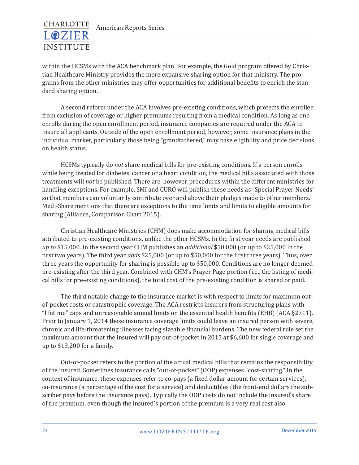within the HCSMs with the ACA benchmark plan. For example, the Gold program offered by Christian Healthcare Ministry provides the more expansive sharing option for that ministry. The programs from the other ministries may offer opportunities for additional benefits to enrich the standard sharing option.

A second reform under the ACA involves pre-existing conditions, which protects the enrollee from exclusion of coverage or higher premiums resulting from a medical condition. As long as one enrolls during the open enrollment period, insurance companies are required under the ACA to insure all applicants. Outside of the open enrollment period, however, some insurance plans in the individual market, particularly those being "grandfathered," may base eligibility and price decisions on health status.

HCSMs typically do *not* share medical bills for pre-existing conditions. If a person enrolls while being treated for diabetes, cancer or a heart condition, the medical bills associated with those treatments will *not* be published. There are, however, procedures within the different ministries for handling exceptions. For example, SMI and CURO will publish these needs as "Special Prayer Needs" so that members can voluntarily contribute over and above their pledges made to other members. Medi-Share mentions that there are exceptions to the time limits and limits to eligible amounts for sharing (Alliance, Comparison Chart 2015).

Christian Healthcare Ministries (CHM) does make accommodation for sharing medical bills attributed to pre-existing conditions, unlike the other HCSMs. In the first year needs are published *up to* \$15,000. In the second year CHM publishes an *additional* \$10,000 (or up to \$25,000 in the first two years). The third year *adds* \$25,000 (or up to \$50,000 for the first three years). Thus, over three years the opportunity for sharing is possible up to \$50,000. Conditions are no longer deemed pre-existing after the third year. Combined with CHM's Prayer Page portion (i.e., the listing of medical bills for pre-existing conditions), the total cost of the pre-existing condition is shared or paid.

The third notable change to the insurance market is with respect to limits for maximum outof-pocket costs or catastrophic coverage. The ACA restricts insurers from structuring plans with "lifetime" caps and unreasonable annual limits on the essential health benefits (EHB) (ACA §2711). Prior to January 1, 2014 these insurance coverage limits could leave an insured person with severe, chronic and life-threatening illnesses facing sizeable financial burdens. The new federal rule set the maximum amount that the insured will pay out-of-pocket in 2015 at \$6,600 for single coverage and up to \$13,200 for a family.

Out-of-pocket refers to the portion of the actual medical bills that remains the responsibility of the insured. Sometimes insurance calls "out-of-pocket" (OOP) expenses "cost-sharing." In the context of insurance, these expenses refer to co-pays (a fixed dollar amount for certain services), co-insurance (a percentage of the cost for a service) and deductibles (the front-end dollars the subscriber pays before the insurance pays). Typically the OOP costs do not include the insured's share of the premium, even though the insured's portion of the premium is a very real cost also.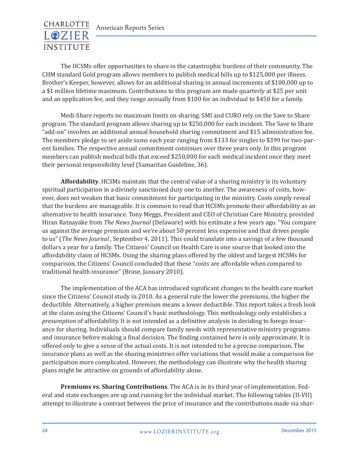

The HCSMs offer opportunities to share in the catastrophic burdens of their community. The CHM standard Gold program allows members to publish medical bills up to \$125,000 per illness. Brother's Keeper, however, allows for an additional sharing in annual increments of \$100,000 up to a \$1 million lifetime maximum. Contributions to this program are made quarterly at \$25 per unit and an application fee, and they range annually from \$100 for an individual to \$450 for a family.

Medi-Share reports no maximum limits on sharing. SMI and CURO rely on the Save to Share program. The standard program allows sharing up to \$250,000 for each incident. The Save to Share "add-on" involves an additional annual household sharing commitment and \$15 administration fee. The members pledge to set aside sums each year ranging from \$133 for singles to \$399 for two-parent families. The respective annual commitment continues over three years only. In this program members can publish medical bills that exceed \$250,000 for each medical incident once they meet their personal responsibility level (Samaritan Guideline, 36).

**Affordability**. HCSMs maintain that the central value of a sharing ministry is its voluntary spiritual participation in a divinely sanctioned duty one to another. The awareness of costs, however, does not weaken that basic commitment for participating in the ministry. Costs simply reveal that the burdens are manageable. It is common to read that HCSMs promote their affordability as an alternative to health insurance. Tony Meggs, President and CEO of Christian Care Ministry, provided Hiran Ratnayake from *The News Journal* (Delaware) with his estimate a few years ago. "You compare us against the average premium and we're about 50 percent less expensive and that drives people to us" (*The News Journal* , September 4, 2011). This could translate into a savings of a few thousand dollars a year for a family. The Citizens' Council on Health Care is one source that looked into the affordability claim of HCSMs. Using the sharing plans offered by the oldest and largest HCSMs for comparison, the Citizens' Council concluded that these "costs are affordable when compared to traditional health insurance" (Brase, January 2010).

The implementation of the ACA has introduced significant changes to the health care market since the Citizens' Council study in 2010. As a general rule the lower the premiums, the higher the deductible. Alternatively, a higher premium means a lower deductible. This report takes a fresh look at the claim using the Citizens' Council's basic methodology. This methodology only establishes a *presumption* of affordability. It is not intended as a definitive analysis in deciding to forego insurance for sharing. Individuals should compare family needs with representative ministry programs and insurance before making a final decision. The finding contained here is only approximate. It is offered only to give a sense of the actual costs. It is not intended to be a precise comparison. The insurance plans as well as the sharing ministries offer variations that would make a comparison for participation more complicated. However, the methodology can illustrate why the health sharing plans might be attractive on grounds of affordability alone.

**Premiums vs. Sharing Contributions**. The ACA is in its third year of implementation. Federal and state exchanges are up and running for the individual market. The following tables (II-VII) attempt to illustrate a contrast between the price of insurance and the contributions made via shar-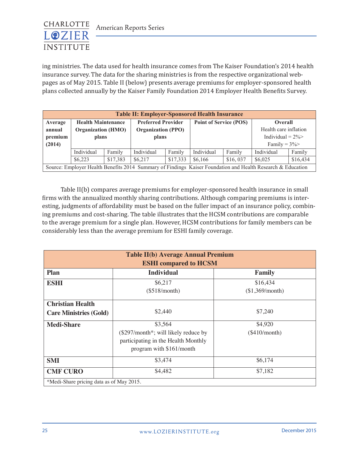

ing ministries. The data used for health insurance comes from The Kaiser Foundation's 2014 health insurance survey. The data for the sharing ministries is from the respective organizational webpages as of May 2015. Table II (below) presents average premiums for employer-sponsored health plans collected annually by the Kaiser Family Foundation 2014 Employer Health Benefits Survey. Ing immetries. The data used for health medicine con

| <b>Table II: Employer-Sponsored Health Insurance</b> |                           |          |                                                                              |                           |                    |                       |                                                                                                             |          |
|------------------------------------------------------|---------------------------|----------|------------------------------------------------------------------------------|---------------------------|--------------------|-----------------------|-------------------------------------------------------------------------------------------------------------|----------|
| Average                                              | <b>Health Maintenance</b> |          | <b>Point of Service (POS)</b><br><b>Preferred Provider</b><br><b>Overall</b> |                           |                    |                       |                                                                                                             |          |
| annual                                               | <b>Organization (HMO)</b> |          |                                                                              | <b>Organization (PPO)</b> |                    | Health care inflation |                                                                                                             |          |
| premium                                              | plans                     |          | plans                                                                        |                           | Individual = $2\%$ |                       |                                                                                                             |          |
| (2014)                                               | Family = $3\%$            |          |                                                                              |                           |                    |                       |                                                                                                             |          |
|                                                      | Individual                | Family   | Individual                                                                   | Family                    | Individual         | Family                | Individual                                                                                                  | Family   |
|                                                      | \$6,223                   | \$17,383 | \$6.217                                                                      | \$17,333                  | \$6,166            | \$16,037              | \$6,025                                                                                                     | \$16,434 |
|                                                      |                           |          |                                                                              |                           |                    |                       | Source: Employer Health Benefits 2014 Summary of Findings Kaiser Foundation and Health Research & Education |          |

Table II(b) compares average premiums for employer-sponsored health insurance in small firms with the annualized monthly sharing contributions. Although comparing premiums is interesting, judgments of affordability must be based on the fuller impact of an insurance policy, combining premiums and cost-sharing. The table illustrates that the HCSM contributions are comparable to the average premium for a single plan. However, HCSM contributions for family members can be considerably less than the average premium for ESHI family coverage. Charlotte Lozier Institute – Scott Daniels, Table II(b) copy

| <b>Table II(b) Average Annual Premium</b><br><b>ESHI</b> compared to <b>HCSM</b> |                                                                                                                        |                             |  |  |  |  |  |
|----------------------------------------------------------------------------------|------------------------------------------------------------------------------------------------------------------------|-----------------------------|--|--|--|--|--|
| <b>Plan</b>                                                                      | <b>Individual</b><br>Family                                                                                            |                             |  |  |  |  |  |
| <b>ESHI</b>                                                                      | \$6,217<br>(\$518/month)                                                                                               | \$16,434<br>(\$1,369/month) |  |  |  |  |  |
| <b>Christian Health</b><br><b>Care Ministries (Gold)</b>                         | \$2,440                                                                                                                | \$7,240                     |  |  |  |  |  |
| <b>Medi-Share</b>                                                                | \$3,564<br>$(\$297/month^*$ ; will likely reduce by<br>participating in the Health Monthly<br>program with \$161/month | \$4,920<br>$(\$410/month)$  |  |  |  |  |  |
| <b>SMI</b>                                                                       | \$3,474                                                                                                                | \$6,174                     |  |  |  |  |  |
| <b>CMF CURO</b>                                                                  | \$4,482                                                                                                                | \$7,182                     |  |  |  |  |  |
| *Medi-Share pricing data as of May 2015.                                         |                                                                                                                        |                             |  |  |  |  |  |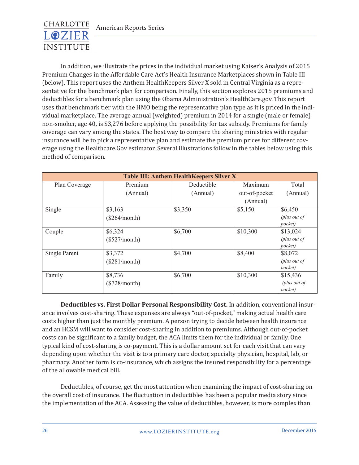

In addition, we illustrate the prices in the individual market using Kaiser's Analysis of 2015 Premium Changes in the Affordable Care Act's Health Insurance Marketplaces shown in Table III (below). This report uses the Anthem HealthKeepers Silver X sold in Central Virginia as a representative for the benchmark plan for comparison. Finally, this section explores 2015 premiums and deductibles for a benchmark plan using the Obama Administration's HealthCare.gov. This report uses that benchmark tier with the HMO being the representative plan type as it is priced in the individual marketplace. The average annual (weighted) premium in 2014 for a single (male or female) non-smoker, age 40, is \$3,276 before applying the possibility for tax subsidy. Premiums for family coverage can vary among the states. The best way to compare the sharing ministries with regular insurance will be to pick a representative plan and estimate the premium prices for different coverage using the Healthcare.Gov estimator. Several illustrations follow in the tables below using this method of comparison.

| <b>Table III: Anthem HealthKeepers Silver X</b> |                 |            |               |              |  |  |
|-------------------------------------------------|-----------------|------------|---------------|--------------|--|--|
| Plan Coverage                                   | Premium         | Deductible | Maximum       | Total        |  |  |
|                                                 | (Annual)        | (Annual)   | out-of-pocket | (Annual)     |  |  |
|                                                 |                 |            | (Annual)      |              |  |  |
| Single                                          | \$3,163         | \$3,350    | \$5,150       | \$6,450      |  |  |
|                                                 | (\$264/month)   |            |               | (plus out of |  |  |
|                                                 |                 |            |               | pocket)      |  |  |
| Couple                                          | \$6,324         | \$6,700    | \$10,300      | \$13,024     |  |  |
|                                                 | $(\$527/month)$ |            |               | (plus out of |  |  |
|                                                 |                 |            |               | pocket)      |  |  |
| Single Parent                                   | \$3,372         | \$4,700    | \$8,400       | \$8,072      |  |  |
|                                                 | (\$281/month)   |            |               | (plus out of |  |  |
|                                                 |                 |            |               | pocket)      |  |  |
| Family                                          | \$8,736         | \$6,700    | \$10,300      | \$15,436     |  |  |
|                                                 | $(\$728/month)$ |            |               | (plus out of |  |  |
|                                                 |                 |            |               | pocket)      |  |  |

**Deductibles vs. First Dollar Personal Responsibility Cost.** In addition, conventional insurance involves cost-sharing. These expenses are always "out-of-pocket," making actual health care costs higher than just the monthly premium. A person trying to decide between health insurance and an HCSM will want to consider cost-sharing in addition to premiums. Although out-of-pocket costs can be significant to a family budget, the ACA limits them for the individual or family. One typical kind of cost-sharing is co-payment. This is a dollar amount set for each visit that can vary depending upon whether the visit is to a primary care doctor, specialty physician, hospital, lab, or pharmacy. Another form is co-insurance, which assigns the insured responsibility for a percentage of the allowable medical bill.

Deductibles, of course, get the most attention when examining the impact of cost-sharing on the overall cost of insurance. The fluctuation in deductibles has been a popular media story since the implementation of the ACA. Assessing the value of deductibles, however, is more complex than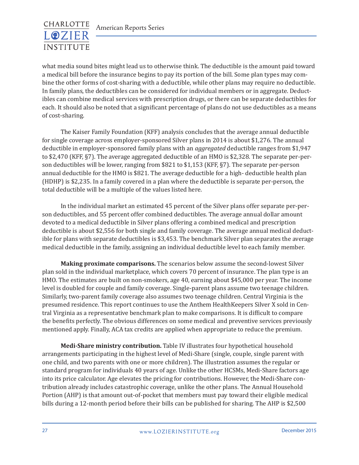

what media sound bites might lead us to otherwise think. The deductible is the amount paid toward a medical bill before the insurance begins to pay its portion of the bill. Some plan types may combine the other forms of cost-sharing with a deductible, while other plans may require no deductible. In family plans, the deductibles can be considered for individual members or in aggregate. Deductibles can combine medical services with prescription drugs, or there can be separate deductibles for each. It should also be noted that a significant percentage of plans do not use deductibles as a means of cost-sharing.

The Kaiser Family Foundation (KFF) analysis concludes that the average annual deductible for single coverage across employer-sponsored Silver plans in 2014 is about \$1,276. The annual deductible in employer-sponsored family plans with an *aggregated* deductible ranges from \$1,947 to \$2,470 (KFF, §7). The average aggregated deductible of an HMO is \$2,328. The separate per-person deductibles will be lower, ranging from \$821 to \$1,153 (KFF, §7). The separate per-person annual deductible for the HMO is \$821. The average deductible for a high- deductible health plan (HDHP) is \$2,235. In a family covered in a plan where the deductible is separate per-person, the total deductible will be a multiple of the values listed here.

In the individual market an estimated 45 percent of the Silver plans offer separate per-person deductibles, and 55 percent offer combined deductibles. The average annual dollar amount devoted to a medical deductible in Silver plans offering a combined medical and prescription deductible is about \$2,556 for both single and family coverage. The average annual medical deductible for plans with separate deductibles is \$3,453. The benchmark Silver plan separates the average medical deductible in the family, assigning an individual deductible level to each family member.

**Making proximate comparisons.** The scenarios below assume the second-lowest Silver plan sold in the individual marketplace, which covers 70 percent of insurance. The plan type is an HMO. The estimates are built on non-smokers, age 40, earning about \$45,000 per year. The income level is doubled for couple and family coverage. Single-parent plans assume two teenage children. Similarly, two-parent family coverage also assumes two teenage children. Central Virginia is the presumed residence. This report continues to use the Anthem HealthKeepers Silver X sold in Central Virginia as a representative benchmark plan to make comparisons. It is difficult to compare the benefits perfectly. The obvious differences on some medical and preventive services previously mentioned apply. Finally, ACA tax credits are applied when appropriate to reduce the premium.

**Medi-Share ministry contribution.** Table IV illustrates four hypothetical household arrangements participating in the highest level of Medi-Share (single, couple, single parent with one child, and two parents with one or more children). The illustration assumes the regular or standard program for individuals 40 years of age. Unlike the other HCSMs, Medi-Share factors age into its price calculator. Age elevates the pricing for contributions. However, the Medi-Share contribution already includes catastrophic coverage, unlike the other plans. The Annual Household Portion (AHP) is that amount out-of-pocket that members must pay toward their eligible medical bills during a 12-month period before their bills can be published for sharing. The AHP is \$2,500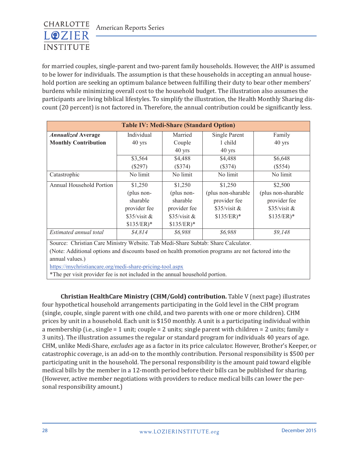

for married couples, single-parent and two-parent family households. However, the AHP is assumed to be lower for individuals. The assumption is that these households in accepting an annual household portion are seeking an optimum balance between fulfilling their duty to bear other members' burdens while minimizing overall cost to the household budget. The illustration also assumes the participants are living biblical lifestyles. To simplify the illustration, the Health Monthly Sharing discount (20 percent) is not factored in. Therefore, the annual contribution could be significantly less.

| <b>Table IV: Medi-Share (Standard Option)</b> |                |                |                     |                    |  |  |  |
|-----------------------------------------------|----------------|----------------|---------------------|--------------------|--|--|--|
| <b>Annualized Average</b>                     | Individual     | Married        | Single Parent       | Family             |  |  |  |
| <b>Monthly Contribution</b>                   | $40$ yrs       | Couple         | 1 child             | $40$ yrs           |  |  |  |
|                                               |                | $40$ yrs       | $40$ yrs            |                    |  |  |  |
|                                               | \$3,564        | \$4,488        | \$4,488             | \$6,648            |  |  |  |
|                                               | $(\$297)$      | $(\$374)$      | (\$374)             | (\$554)            |  |  |  |
| Catastrophic                                  | No limit       | No limit       | No limit            | No limit           |  |  |  |
| Annual Household Portion                      | \$1,250        | \$1,250        | \$1,250             | \$2,500            |  |  |  |
|                                               | (plus non-     | (plus non-     | (plus non-sharable) | (plus non-sharable |  |  |  |
|                                               | sharable       | sharable       | provider fee        | provider fee       |  |  |  |
|                                               | provider fee   | provider fee   | $$35/visit \&$      | $$35/visit \&$     |  |  |  |
|                                               | $$35/visit \&$ | $$35/visit \&$ | $$135/ER)*$         | $$135/ER)*$        |  |  |  |
|                                               | $$135/ER)*$    | $$135/ER)*$    |                     |                    |  |  |  |
| Estimated annual total                        | \$4,814        | \$6,988        | \$6,988             | \$9,148            |  |  |  |

Source: Christian Care Ministry Website. Tab Medi-Share Subtab: Share Calculator. (Note: Additional options and discounts based on health promotion programs are not factored into the annual values.)

https://mychristiancare.org/medi-share-pricing-tool.aspx

\*The per visit provider fee is not included in the annual household portion.

**Christian HealthCare Ministry (CHM/Gold) contribution.** Table V (next page) illustrates four hypothetical household arrangements participating in the Gold level in the CHM program (single, couple, single parent with one child, and two parents with one or more children). CHM prices by unit in a household. Each unit is \$150 monthly. A unit is a participating individual within a membership (i.e., single = 1 unit; couple = 2 units; single parent with children = 2 units; family = 3 units). The illustration assumes the regular or standard program for individuals 40 years of age. CHM, unlike Medi-Share, *excludes* age as a factor in its price calculator. However, Brother's Keeper, or catastrophic coverage, is an add-on to the monthly contribution. Personal responsibility is \$500 per participating unit in the household. The personal responsibility is the amount paid toward eligible medical bills by the member in a 12-month period before their bills can be published for sharing. (However, active member negotiations with providers to reduce medical bills can lower the personal responsibility amount.)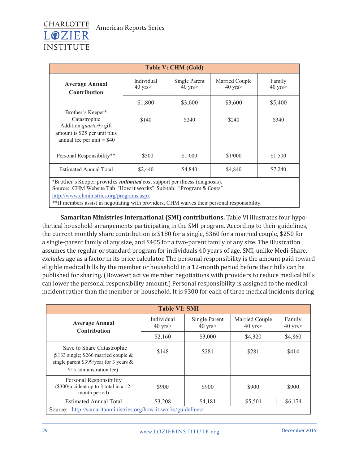

| <b>Table V: CHM (Gold)</b>                                                                                                                             |                                |                               |                                |                        |  |  |  |
|--------------------------------------------------------------------------------------------------------------------------------------------------------|--------------------------------|-------------------------------|--------------------------------|------------------------|--|--|--|
| <b>Average Annual</b><br><b>Contribution</b>                                                                                                           | Individual<br>$40 \text{ yrs}$ | Single Parent<br>$40$ yrs $>$ | Married Couple<br>$40$ yrs $>$ | Family<br>$40$ yrs $>$ |  |  |  |
|                                                                                                                                                        | \$1,800                        | \$3,600                       | \$3,600                        | \$5,400                |  |  |  |
| Brother's Keeper*<br>Catastrophic<br>Addition <i>quarterly</i> gift<br>amount is \$25 per unit plus<br>annual fee per unit $=$ \$40                    | \$140                          | \$240                         | \$240                          | \$340                  |  |  |  |
| Personal Responsibility**                                                                                                                              | \$500                          | \$1,000                       | \$1,000                        | \$1,500                |  |  |  |
| <b>Estimated Annual Total</b>                                                                                                                          | \$2,440                        | \$4,840                       | \$4,840                        | \$7,240                |  |  |  |
| *Brother's Keeper provides <i>unlimited</i> cost support per illness (diagnosis).<br>Source: CHM Website Tab "How it works" Sub-tab: "Program & Costs" |                                |                               |                                |                        |  |  |  |

http://www.chministries.org/programs.aspx

\*\*If members assist in negotiating with providers, CHM waives their personal responsibility.

**Samaritan Ministries International (SMI) contributions.** Table VI illustrates four hypothetical household arrangements participating in the SMI program. According to their guidelines, the current monthly share contribution is \$180 for a single, \$360 for a married couple, \$250 for a single-parent family of any size, and \$405 for a two-parent family of any size. The illustration assumes the regular or standard program for individuals 40 years of age. SMI, unlike Medi-Share, *excludes* age as a factor in its price calculator. The personal responsibility is the amount paid toward eligible medical bills by the member or household in a 12-month period before their bills can be published for sharing. (However, active member negotiations with providers to reduce medical bills can lower the personal responsibility amount.) Personal responsibility is assigned to the medical incident rather than the member or household. It is \$300 for each of three medical incidents during

| <b>Table VI: SMI</b>                                                                                                                         |                            |                               |                                    |                        |  |  |  |
|----------------------------------------------------------------------------------------------------------------------------------------------|----------------------------|-------------------------------|------------------------------------|------------------------|--|--|--|
| <b>Average Annual</b><br><b>Contribution</b>                                                                                                 | Individual<br>$40$ yrs $>$ | Single Parent<br>$40$ yrs $>$ | Married Couple<br>$40 \text{ yrs}$ | Family<br>$40$ yrs $>$ |  |  |  |
|                                                                                                                                              | \$2,160                    | \$3,000                       | \$4,320                            | \$4,860                |  |  |  |
| Save to Share Catastrophic<br>$$133$ single; \$266 married couple &<br>single parent \$399/year for 3 years $\&$<br>\$15 administration fee) | \$148                      | \$281                         | \$281                              | \$414                  |  |  |  |
| Personal Responsibility<br>(\$300/incident up to 3 total in a 12-<br>month period)                                                           | \$900                      | \$900                         | \$900                              | \$900                  |  |  |  |
| <b>Estimated Annual Total</b>                                                                                                                | \$3,208                    | \$4,181                       | \$5,501                            | \$6,174                |  |  |  |
| http://samaritanministries.org/how-it-works/guidelines/<br>Source:                                                                           |                            |                               |                                    |                        |  |  |  |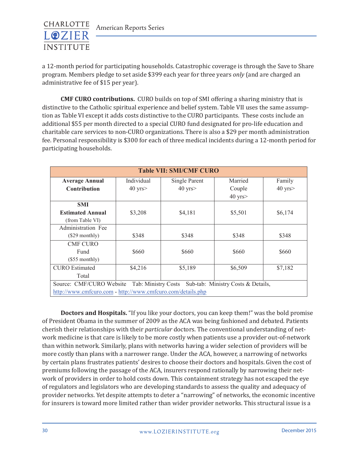

a 12-month period for participating households. Catastrophic coverage is through the Save to Share program. Members pledge to set aside \$399 each year for three years *only* (and are charged an administrative fee of \$15 per year).

**CMF CURO contributions.** CURO builds on top of SMI offering a sharing ministry that is distinctive to the Catholic spiritual experience and belief system. Table VII uses the same assumption as Table VI except it adds costs distinctive to the CURO participants. These costs include an additional \$55 per month directed to a special CURO fund designated for pro-life education and charitable care services to non-CURO organizations. There is also a \$29 per month administration fee. Personal responsibility is \$300 for each of three medical incidents during a 12-month period for participating households.  $\frac{C_1}{C_2}$  and  $\frac{C_2}{C_1}$  and  $\frac{C_1}{C_2}$  copy contribute  $\frac{C_1}{C_1}$  contribute  $\frac{C_1}{C_2}$  contribute  $\frac{C_1}{C_1}$  contribute  $\frac{C_1}{C_1}$  contribute  $\frac{C_1}{C_1}$  contribute  $\frac{C_1}{C_1}$  contribute  $\frac{C$ 

| <b>Table VII: SMI/CMF CURO</b>                                                        |              |                      |              |              |  |  |  |  |
|---------------------------------------------------------------------------------------|--------------|----------------------|--------------|--------------|--|--|--|--|
| <b>Average Annual</b>                                                                 | Individual   | <b>Single Parent</b> | Married      | Family       |  |  |  |  |
| <b>Contribution</b>                                                                   | $40$ yrs $>$ | $40$ yrs $>$         | Couple       | $40$ yrs $>$ |  |  |  |  |
|                                                                                       |              |                      | $40$ yrs $>$ |              |  |  |  |  |
| <b>SMI</b>                                                                            |              |                      |              |              |  |  |  |  |
| <b>Estimated Annual</b>                                                               | \$3,208      | \$4,181              | \$5,501      | \$6,174      |  |  |  |  |
| (from Table VI)                                                                       |              |                      |              |              |  |  |  |  |
| Administration Fee                                                                    |              |                      |              |              |  |  |  |  |
| $(\$29$ monthly)                                                                      | \$348        | \$348                | \$348        | \$348        |  |  |  |  |
| <b>CMF CURO</b>                                                                       |              |                      |              |              |  |  |  |  |
| Fund                                                                                  | \$660        | \$660                | \$660        | \$660        |  |  |  |  |
| $(\$55$ monthly)                                                                      |              |                      |              |              |  |  |  |  |
| <b>CURO</b> Estimated                                                                 | \$4,216      | \$5,189              | \$6,509      | \$7,182      |  |  |  |  |
| Total                                                                                 |              |                      |              |              |  |  |  |  |
| Source: CMF/CURO Website<br>Tab: Ministry Costs<br>Sub-tab: Ministry Costs & Details, |              |                      |              |              |  |  |  |  |
| http://www.cmfcuro.com - http://www.cmfcuro.com/details.php                           |              |                      |              |              |  |  |  |  |

**Doctors and Hospitals.** "If you like your doctors, you can keep them!" was the bold promise of President Obama in the summer of 2009 as the ACA was being fashioned and debated. Patients cherish their relationships with their *particular* doctors. The conventional understanding of network medicine is that care is likely to be more costly when patients use a provider out-of-network than within network. Similarly, plans with networks having a wider selection of providers will be more costly than plans with a narrower range. Under the ACA, however, a narrowing of networks by certain plans frustrates patients' desires to choose their doctors and hospitals. Given the cost of premiums following the passage of the ACA, insurers respond rationally by narrowing their network of providers in order to hold costs down. This containment strategy has not escaped the eye of regulators and legislators who are developing standards to assess the quality and adequacy of provider networks. Yet despite attempts to deter a "narrowing" of networks, the economic incentive for insurers is toward more limited rather than wider provider networks. This structural issue is a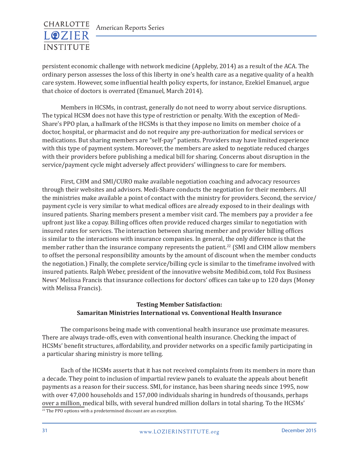

persistent economic challenge with network medicine (Appleby, 2014) as a result of the ACA. The ordinary person assesses the loss of this liberty in one's health care as a negative quality of a health care system. However, some influential health policy experts, for instance, Ezekiel Emanuel, argue that choice of doctors is overrated (Emanuel, March 2014).

Members in HCSMs, in contrast, generally do not need to worry about service disruptions. The typical HCSM does not have this type of restriction or penalty. With the exception of Medi-Share's PPO plan, a hallmark of the HCSMs is that they impose no limits on member choice of a doctor, hospital, or pharmacist and do not require any pre-authorization for medical services or medications. But sharing members are "self-pay" patients. Providers may have limited experience with this type of payment system. Moreover, the members are asked to negotiate reduced charges with their providers before publishing a medical bill for sharing. Concerns about disruption in the service/payment cycle might adversely affect providers' willingness to care for members.

First, CHM and SMI/CURO make available negotiation coaching and advocacy resources through their websites and advisors. Medi-Share conducts the negotiation for their members. All the ministries make available a point of contact with the ministry for providers. Second, the service/ payment cycle is very similar to what medical offices are already exposed to in their dealings with insured patients. Sharing members present a member visit card. The members pay a provider a fee upfront just like a copay. Billing offices often provide reduced charges similar to negotiation with insured rates for services. The interaction between sharing member and provider billing offices is similar to the interactions with insurance companies. In general, the only difference is that the member rather than the insurance company represents the patient.<sup>22</sup> (SMI and CHM allow members to offset the personal responsibility amounts by the amount of discount when the member conducts the negotiation.) Finally, the complete service/billing cycle is similar to the timeframe involved with insured patients. Ralph Weber, president of the innovative website Medibid.com, told Fox Business News' Melissa Francis that insurance collections for doctors' offices can take up to 120 days (Money with Melissa Francis).

#### **Testing Member Satisfaction: Samaritan Ministries International vs. Conventional Health Insurance**

The comparisons being made with conventional health insurance use proximate measures. There are always trade-offs, even with conventional health insurance. Checking the impact of HCSMs' benefit structures, affordability, and provider networks on a specific family participating in a particular sharing ministry is more telling.

Each of the HCSMs asserts that it has not received complaints from its members in more than a decade. They point to inclusion of impartial review panels to evaluate the appeals about benefit payments as a reason for their success. SMI, for instance, has been sharing needs since 1995, now with over 47,000 households and 157,000 individuals sharing in hundreds of thousands, perhaps over a million, medical bills, with several hundred million dollars in total sharing. To the HCSMs'  $22$  The PPO options with a predetermined discount are an exception.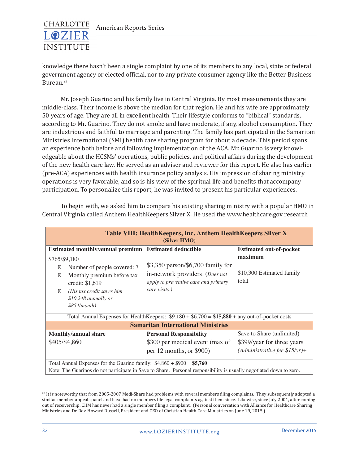

knowledge there hasn't been a single complaint by one of its members to any local, state or federal government agency or elected official, nor to any private consumer agency like the Better Business Bureau.<sup>23</sup>

Mr. Joseph Guarino and his family live in Central Virginia. By most measurements they are middle-class. Their income is above the median for that region. He and his wife are approximately 50 years of age. They are all in excellent health. Their lifestyle conforms to "biblical" standards, according to Mr. Guarino. They do not smoke and have moderate, if any, alcohol consumption. They are industrious and faithful to marriage and parenting. The family has participated in the Samaritan Ministries International (SMI) health care sharing program for about a decade. This period spans an experience both before and following implementation of the ACA. Mr. Guarino is very knowledgeable about the HCSMs' operations, public policies, and political affairs during the development of the new health care law. He served as an adviser and reviewer for this report. He also has earlier (pre-ACA) experiences with health insurance policy analysis. His impression of sharing ministry operations is very favorable, and so is his view of the spiritual life and benefits that accompany participation. To personalize this report, he was invited to present his particular experiences.

| Table VIII: HealthKeepers, Inc. Anthem HealthKeepers Silver X<br>(Silver HMO)                                                                                                                 |                                                                                                                                |                                               |  |  |  |  |  |
|-----------------------------------------------------------------------------------------------------------------------------------------------------------------------------------------------|--------------------------------------------------------------------------------------------------------------------------------|-----------------------------------------------|--|--|--|--|--|
| <b>Estimated monthly/annual premium</b>                                                                                                                                                       | <b>Estimated deductible</b>                                                                                                    | <b>Estimated out-of-pocket</b>                |  |  |  |  |  |
| \$765/\$9,180<br>Number of people covered: 7<br>Monthly premium before tax<br>credit: \$1,619<br>(His tax credit saves him<br>$$10,248$ annually or<br>\$854/month)                           | $$3,350$ person/\$6,700 family for<br>in-network providers. (Does not<br>apply to preventive care and primary<br>care visits.) | maximum<br>\$10,300 Estimated family<br>total |  |  |  |  |  |
| Total Annual Expenses for Health Keepers: $$9,180 + $6,700 = $15,880 + any out-of-pocket costs$                                                                                               |                                                                                                                                |                                               |  |  |  |  |  |
| <b>Samaritan International Ministries</b>                                                                                                                                                     |                                                                                                                                |                                               |  |  |  |  |  |
| <b>Monthly/annual share</b>                                                                                                                                                                   | <b>Personal Responsibility</b>                                                                                                 | Save to Share (unlimited)                     |  |  |  |  |  |
| \$405/\$4,860                                                                                                                                                                                 | \$300 per medical event (max of                                                                                                | \$399/year for three years                    |  |  |  |  |  |
|                                                                                                                                                                                               | per 12 months, or \$900)                                                                                                       | (Administrative fee $$15/yr$ )+               |  |  |  |  |  |
| Total Annual Expenses for the Guarino family: $$4,860 + $900 = $5,760$<br>Note: The Guarinos do not participate in Save to Share. Personal responsibility is usually negotiated down to zero. |                                                                                                                                |                                               |  |  |  |  |  |

To begin with, we asked him to compare his existing sharing ministry with a popular HMO in Central Virginia called Anthem HealthKeepers Silver X. He used the www.healthcare.gov research

<sup>&</sup>lt;sup>23</sup> It is noteworthy that from 2005-2007 Medi-Share had problems with several members filing complaints. They subsequently adopted a similar member appeals panel and have had no members file legal complaints against them since. Likewise, since July 2001, after coming out of receivership, CHM has never had a single member filing a complaint. (Personal conversation with Alliance for Healthcare Sharing Ministries and Dr. Rev. Howard Russell, President and CEO of Christian Health Care Ministries on June 19, 2015.)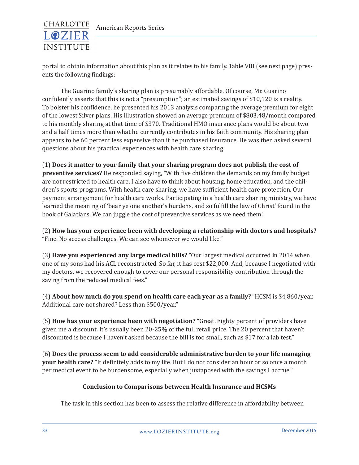

portal to obtain information about this plan as it relates to his family. Table VIII (see next page) presents the following findings:

The Guarino family's sharing plan is presumably affordable. Of course, Mr. Guarino confidently asserts that this is not a "presumption"; an estimated savings of \$10,120 is a reality. To bolster his confidence, he presented his 2013 analysis comparing the average premium for eight of the lowest Silver plans. His illustration showed an average premium of \$803.48/month compared to his monthly sharing at that time of \$370. Traditional HMO insurance plans would be about two and a half times more than what he currently contributes in his faith community. His sharing plan appears to be 60 percent less expensive than if he purchased insurance. He was then asked several questions about his practical experiences with health care sharing:

(1) **Does it matter to your family that your sharing program does not publish the cost of preventive services?** He responded saying, "With five children the demands on my family budget are not restricted to health care. I also have to think about housing, home education, and the children's sports programs. With health care sharing, we have sufficient health care protection. Our payment arrangement for health care works. Participating in a health care sharing ministry, we have learned the meaning of 'bear ye one another's burdens, and so fulfill the law of Christ' found in the book of Galatians. We can juggle the cost of preventive services as we need them."

(2) **How has your experience been with developing a relationship with doctors and hospitals?** "Fine. No access challenges. We can see whomever we would like."

(3) **Have you experienced any large medical bills?** "Our largest medical occurred in 2014 when one of my sons had his ACL reconstructed. So far, it has cost \$22,000. And, because I negotiated with my doctors, we recovered enough to cover our personal responsibility contribution through the saving from the reduced medical fees."

(4) **About how much do you spend on health care each year as a family?** "HCSM is \$4,860/year. Additional care not shared? Less than \$500/year."

(5) **How has your experience been with negotiation?** "Great. Eighty percent of providers have given me a discount. It's usually been 20-25% of the full retail price. The 20 percent that haven't discounted is because I haven't asked because the bill is too small, such as \$17 for a lab test."

(6) **Does the process seem to add considerable administrative burden to your life managing your health care?** "It definitely adds to my life. But I do not consider an hour or so once a month per medical event to be burdensome, especially when juxtaposed with the savings I accrue."

#### **Conclusion to Comparisons between Health Insurance and HCSMs**

The task in this section has been to assess the relative difference in affordability between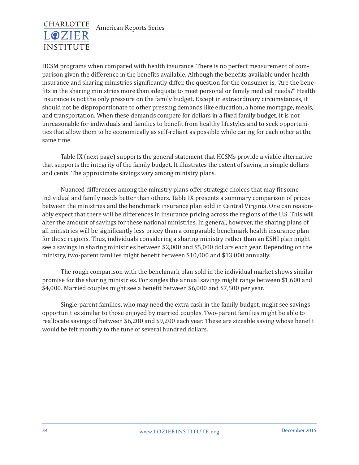

HCSM programs when compared with health insurance. There is no perfect measurement of comparison given the difference in the benefits available. Although the benefits available under health insurance and sharing ministries significantly differ, the question for the consumer is, "Are the benefits in the sharing ministries more than adequate to meet personal or family medical needs?" Health insurance is not the only pressure on the family budget. Except in extraordinary circumstances, it should not be disproportionate to other pressing demands like education, a home mortgage, meals, and transportation. When these demands compete for dollars in a fixed family budget, it is not unreasonable for individuals and families to benefit from healthy lifestyles and to seek opportunities that allow them to be economically as self-reliant as possible while caring for each other at the same time.

Table IX (next page) supports the general statement that HCSMs provide a viable alternative that supports the integrity of the family budget. It illustrates the extent of saving in simple dollars and cents. The approximate savings vary among ministry plans.

Nuanced differences among the ministry plans offer strategic choices that may fit some individual and family needs better than others. Table IX presents a summary comparison of prices between the ministries and the benchmark insurance plan sold in Central Virginia. One can reasonably expect that there will be differences in insurance pricing across the regions of the U.S. This will alter the amount of savings for these national ministries. In general, however, the sharing plans of all ministries will be significantly less pricey than a comparable benchmark health insurance plan for those regions. Thus, individuals considering a sharing ministry rather than an ESHI plan might see a savings in sharing ministries between \$2,000 and \$5,000 dollars each year. Depending on the ministry, two-parent families might benefit between \$10,000 and \$13,000 annually.

The rough comparison with the benchmark plan sold in the individual market shows similar promise for the sharing ministries. For singles the annual savings might range between \$1,600 and \$4,000. Married couples might see a benefit between \$6,000 and \$7,500 per year.

Single-parent families, who may need the extra cash in the family budget, might see savings opportunities similar to those enjoyed by married couples. Two-parent families might be able to reallocate savings of between \$6,200 and \$9,200 each year. These are sizeable saving whose benefit would be felt monthly to the tune of several hundred dollars.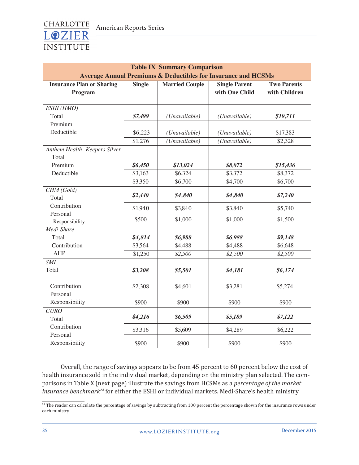

| <b>Table IX Summary Comparison</b><br><b>Average Annual Premiums &amp; Deductibles for Insurance and HCSMs</b> |         |                    |                |                 |  |  |  |
|----------------------------------------------------------------------------------------------------------------|---------|--------------------|----------------|-----------------|--|--|--|
|                                                                                                                |         |                    |                |                 |  |  |  |
| Program                                                                                                        |         |                    | with One Child | with Children   |  |  |  |
|                                                                                                                |         |                    |                |                 |  |  |  |
| ESHI (HMO)                                                                                                     |         |                    |                |                 |  |  |  |
| Total                                                                                                          | \$7,499 | (Unavailable)      | (Unavailable)  | \$19,711        |  |  |  |
| Premium                                                                                                        |         |                    |                |                 |  |  |  |
| Deductible                                                                                                     | \$6,223 | (Unavailable)      | (Unavailable)  | \$17,383        |  |  |  |
|                                                                                                                | \$1,276 | (Unavailable)      | (Unavailable)  | $\sqrt{$2,328}$ |  |  |  |
| Anthem Health- Keepers Silver                                                                                  |         |                    |                |                 |  |  |  |
| Total                                                                                                          |         |                    |                |                 |  |  |  |
| Premium                                                                                                        | \$6,450 | \$13,024           | \$8,072        | \$15,436        |  |  |  |
| Deductible                                                                                                     | \$3,163 | \$6,324            | \$3,372        | \$8,372         |  |  |  |
|                                                                                                                | \$3,350 | \$6,700            | \$4,700        | \$6,700         |  |  |  |
| CHM (Gold)                                                                                                     |         |                    |                |                 |  |  |  |
| Total                                                                                                          |         | \$2,440<br>\$4,840 | \$4,840        | \$7,240         |  |  |  |
| Contribution                                                                                                   | \$1,940 | \$3,840            | \$3,840        | \$5,740         |  |  |  |
| Personal                                                                                                       |         |                    |                |                 |  |  |  |
| Responsibility                                                                                                 | \$500   | \$1,000            | \$1,000        | \$1,500         |  |  |  |
| Medi-Share                                                                                                     |         |                    |                |                 |  |  |  |
| Total                                                                                                          | \$4,814 | \$6,988            | \$6,988        | \$9,148         |  |  |  |
| Contribution                                                                                                   | \$3,564 | \$4,488            | \$4,488        | \$6,648         |  |  |  |
| <b>AHP</b>                                                                                                     | \$1,250 | \$2,500            | \$2,500        | \$2,500         |  |  |  |
| <b>SMI</b>                                                                                                     |         |                    |                |                 |  |  |  |
| Total                                                                                                          | \$3,208 | \$5,501            | \$4,181        | \$6,174         |  |  |  |
|                                                                                                                |         |                    |                |                 |  |  |  |
| Contribution                                                                                                   | \$2,308 | \$4,601            | \$3,281        | \$5,274         |  |  |  |
| Personal                                                                                                       |         |                    |                |                 |  |  |  |
| Responsibility                                                                                                 | \$900   | \$900              | \$900          | \$900           |  |  |  |
| <b>CURO</b>                                                                                                    |         |                    |                |                 |  |  |  |
| Total                                                                                                          | \$4,216 | \$6,509            | \$5,189        | \$7,122         |  |  |  |
| Contribution                                                                                                   | \$3,316 | \$5,609            | \$4,289        | \$6,222         |  |  |  |
| Personal                                                                                                       |         |                    |                |                 |  |  |  |
| Responsibility                                                                                                 | \$900   | \$900              | \$900          | \$900           |  |  |  |

Overall, the range of savings appears to be from 45 percent to 60 percent below the cost of health insurance sold in the individual market, depending on the ministry plan selected. The comparisons in Table X (next page) illustrate the savings from HCSMs as a *percentage of the market insurance benchmark24* for either the ESHI or individual markets. Medi-Share's health ministry

<sup>&</sup>lt;sup>24</sup> The reader can calculate the percentage of savings by subtracting from 100 percent the percentage shown for the insurance rows under each ministry.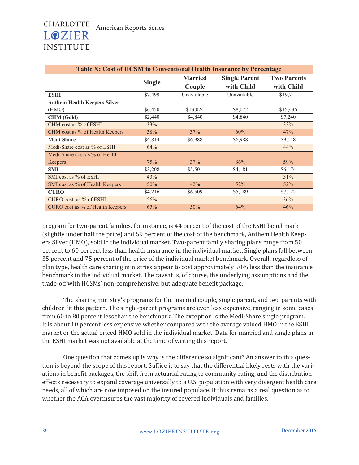

| Table X: Cost of HCSM to Conventional Health Insurance by Percentage |               |                |                      |                    |  |  |
|----------------------------------------------------------------------|---------------|----------------|----------------------|--------------------|--|--|
|                                                                      | <b>Single</b> | <b>Married</b> | <b>Single Parent</b> | <b>Two Parents</b> |  |  |
|                                                                      |               | Couple         | with Child           | with Child         |  |  |
| <b>ESHI</b>                                                          | \$7,499       | Unavailable    | Unavailable          | \$19,711           |  |  |
| <b>Anthem Health Keepers Silver</b>                                  |               |                |                      |                    |  |  |
| (HMO)                                                                | \$6,450       | \$13,024       | \$8,072              | \$15,436           |  |  |
| <b>CHM</b> (Gold)                                                    | \$2,440       | \$4,840        | \$4,840              | \$7,240            |  |  |
| CHM cost as % of ESHI                                                | 33%           |                |                      | 33%                |  |  |
| CHM cost as % of Health Keepers                                      | 38%           | 37%            | 60%                  | 47%                |  |  |
| <b>Medi-Share</b>                                                    | \$4,814       | \$6,988        | \$6,988              | \$9,148            |  |  |
| Medi-Share cost as % of ESHI                                         | 64%           |                |                      | 44%                |  |  |
| Medi-Share cost as % of Health                                       |               |                |                      |                    |  |  |
| Keepers                                                              | 75%           | 37%            | 86%                  | 59%                |  |  |
| <b>SMI</b>                                                           | \$3,208       | \$5,501        | \$4,181              | \$6,174            |  |  |
| SMI cost as % of ESHI                                                | 43%           |                |                      | 31%                |  |  |
| SMI cost as % of Health Keepers                                      | 50%           | 42%            | 52%                  | 52%                |  |  |
| <b>CURO</b>                                                          | \$4,216       | \$6,509        | \$5,189              | \$7,122            |  |  |
| CURO cost as % of ESHI                                               | 56%           |                |                      | 36%                |  |  |
| CURO cost as % of Health Keepers                                     | 65%           | 50%            | 64%                  | 46%                |  |  |

program for two-parent families, for instance, is 44 percent of the cost of the ESHI benchmark (slightly under half the price) and 59 percent of the cost of the benchmark, Anthem Health Keepers Silver (HMO), sold in the individual market. Two-parent family sharing plans range from 50 percent to 60 percent less than health insurance in the individual market. Single plans fall between 35 percent and 75 percent of the price of the individual market benchmark. Overall, regardless of plan type, health care sharing ministries appear to cost approximately 50% less than the insurance benchmark in the individual market. The caveat is, of course, the underlying assumptions and the trade-off with HCSMs' non-comprehensive, but adequate benefit package.

The sharing ministry's programs for the married couple, single parent, and two parents with children fit this pattern. The single-parent programs are even less expensive, ranging in some cases from 60 to 80 percent less than the benchmark. The exception is the Medi-Share single program. It is about 10 percent less expensive whether compared with the average valued HMO in the ESHI market or the actual priced HMO sold in the individual market. Data for married and single plans in the ESHI market was not available at the time of writing this report.

One question that comes up is why is the difference so significant? An answer to this question is beyond the scope of this report. Suffice it to say that the differential likely rests with the variations in benefit packages, the shift from actuarial rating to community rating, and the distribution effects necessary to expand coverage universally to a U.S. population with very divergent health care needs, all of which are now imposed on the insured populace. It thus remains a real question as to whether the ACA overinsures the vast majority of covered individuals and families.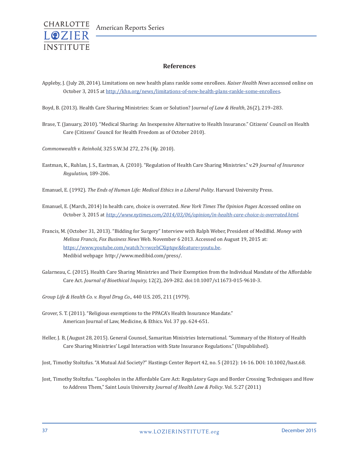

#### **References**

- Appleby, J. (July 28, 2014). Limitations on new health plans rankle some enrollees. *Kaiser Health News* accessed online on October 3, 2015 at http://khn.org/news/limitations-of-new-health-plans-rankle-some-enrollees.
- Boyd, B. (2013). Health Care Sharing Ministries: Scam or Solution? J*ournal of Law & Health*, 26(2), 219–283.
- Brase, T. (January, 2010). "Medical Sharing: An Inexpensive Alternative to Health Insurance." Citizens' Council on Health Care (Citizens' Council for Health Freedom as of October 2010).

*Commonwealth v. Reinhold*, 325 S.W.3d 272, 276 (Ky. 2010).

- Eastman, K., Ruhlan, J. S., Eastman, A. (2010). "Regulation of Health Care Sharing Ministries." v.29 *Journal of Insurance Regulation,* 189-206.
- Emanuel, E. (1992). *The Ends of Human Life: Medical Ethics in a Liberal Polity*. Harvard University Press.
- Emanuel, E. (March, 2014) In health care, choice is overrated. *New York Times The Opinion Pages* Accessed online on October 3, 2015 at *http://www.nytimes.com/2014/03/06/opinion/in-health-care-choice-is-overrated.html.*
- Francis, M. (October 31, 2013). "Bidding for Surgery" Interview with Ralph Weber, President of MediBid. *Money with Melissa Francis, Fox Business News* Web. November 6 2013. Accessed on August 19, 2015 at: https://www.youtube.com/watch?v=wcebCXiptqw&feature=youtu.be. Medibid webpage http://www.medibid.com/press/.
- Galarneau, C. (2015). Health Care Sharing Ministries and Their Exemption from the Individual Mandate of the Affordable Care Act. *Journal of Bioethical Inquiry,* 12(2), 269-282. doi:10.1007/s11673-015-9610-3.
- *Group Life & Health Co. v. Royal Drug Co*., 440 U.S. 205, 211 (1979).
- Grover, S. T. (2011). "Religious exemptions to the PPACA's Health Insurance Mandate." American Journal of Law, Medicine, & Ethics. Vol. 37 pp. 624-651.
- Heller, J. B, (August 28, 2015). General Counsel, Samaritan Ministries International. "Summary of the History of Health Care Sharing Ministries' Legal Interaction with State Insurance Regulations." (Unpublished).

Jost, Timothy Stoltzfus. "A Mutual Aid Society?" Hastings Center Report 42, no. 5 (2012): 14-16. DOI: 10.1002/hast.68.

Jost, Timothy Stoltzfus. "Loopholes in the Affordable Care Act: Regulatory Gaps and Border Crossing Techniques and How to Address Them," Saint Louis University *Journal of Health Law & Policy*. Vol. 5:27 (2011)